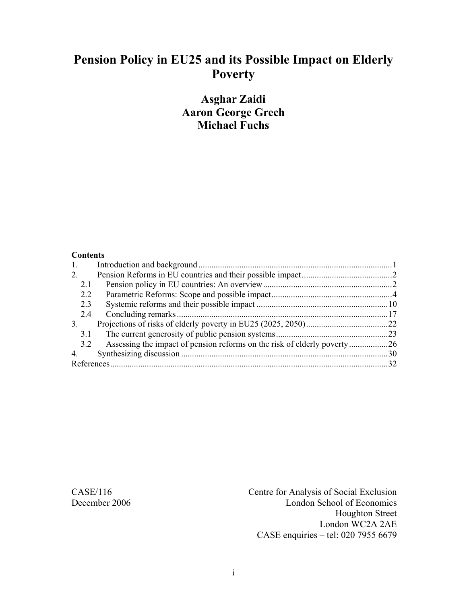# **Pension Policy in EU25 and its Possible Impact on Elderly Poverty**

## **Asghar Zaidi Aaron George Grech Michael Fuchs**

#### **Contents**

| 1.          |                                                                          |     |
|-------------|--------------------------------------------------------------------------|-----|
| 2.          |                                                                          |     |
| 2.1         |                                                                          |     |
| 2.2         |                                                                          |     |
| 2.3         |                                                                          |     |
| 2.4         |                                                                          |     |
| 3.          |                                                                          |     |
| 3.1         |                                                                          |     |
| 3.2         | Assessing the impact of pension reforms on the risk of elderly poverty26 |     |
| $4_{\cdot}$ |                                                                          | .30 |
|             |                                                                          |     |

CASE/116 Centre for Analysis of Social Exclusion December 2006 London School of Economics Houghton Street London WC2A 2AE CASE enquiries – tel: 020 7955 6679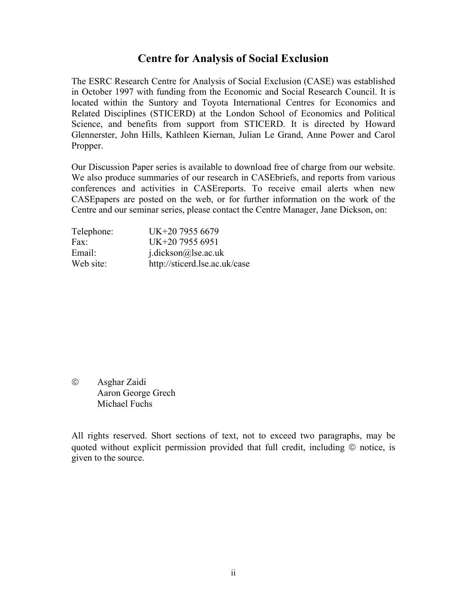## **Centre for Analysis of Social Exclusion**

The ESRC Research Centre for Analysis of Social Exclusion (CASE) was established in October 1997 with funding from the Economic and Social Research Council. It is located within the Suntory and Toyota International Centres for Economics and Related Disciplines (STICERD) at the London School of Economics and Political Science, and benefits from support from STICERD. It is directed by Howard Glennerster, John Hills, Kathleen Kiernan, Julian Le Grand, Anne Power and Carol Propper.

Our Discussion Paper series is available to download free of charge from our website. We also produce summaries of our research in CASEbriefs, and reports from various conferences and activities in CASEreports. To receive email alerts when new CASEpapers are posted on the web, or for further information on the work of the Centre and our seminar series, please contact the Centre Manager, Jane Dickson, on:

| Telephone: | UK+20 7955 6679               |
|------------|-------------------------------|
| Fax:       | UK+20 7955 6951               |
| Email:     | $j$ .dickson@lse.ac.uk        |
| Web site:  | http://sticerd.lse.ac.uk/case |

© Asghar Zaidi Aaron George Grech Michael Fuchs

All rights reserved. Short sections of text, not to exceed two paragraphs, may be quoted without explicit permission provided that full credit, including © notice, is given to the source.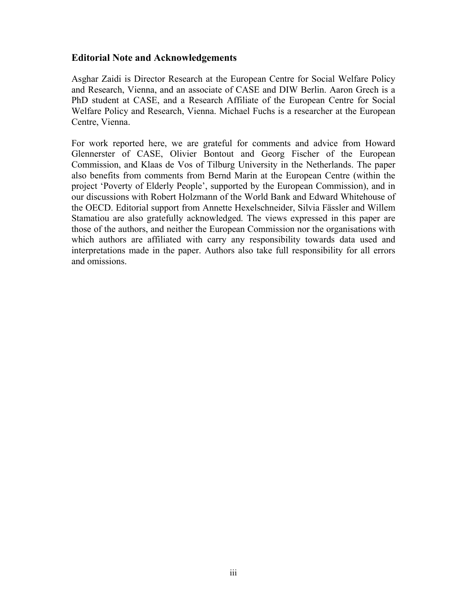#### **Editorial Note and Acknowledgements**

Asghar Zaidi is Director Research at the European Centre for Social Welfare Policy and Research, Vienna, and an associate of CASE and DIW Berlin. Aaron Grech is a PhD student at CASE, and a Research Affiliate of the European Centre for Social Welfare Policy and Research, Vienna. Michael Fuchs is a researcher at the European Centre, Vienna.

For work reported here, we are grateful for comments and advice from Howard Glennerster of CASE, Olivier Bontout and Georg Fischer of the European Commission, and Klaas de Vos of Tilburg University in the Netherlands. The paper also benefits from comments from Bernd Marin at the European Centre (within the project 'Poverty of Elderly People', supported by the European Commission), and in our discussions with Robert Holzmann of the World Bank and Edward Whitehouse of the OECD. Editorial support from Annette Hexelschneider, Silvia Fässler and Willem Stamatiou are also gratefully acknowledged. The views expressed in this paper are those of the authors, and neither the European Commission nor the organisations with which authors are affiliated with carry any responsibility towards data used and interpretations made in the paper. Authors also take full responsibility for all errors and omissions.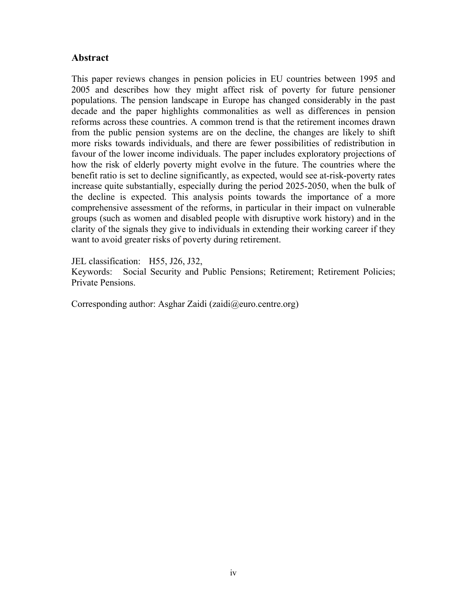### **Abstract**

This paper reviews changes in pension policies in EU countries between 1995 and 2005 and describes how they might affect risk of poverty for future pensioner populations. The pension landscape in Europe has changed considerably in the past decade and the paper highlights commonalities as well as differences in pension reforms across these countries. A common trend is that the retirement incomes drawn from the public pension systems are on the decline, the changes are likely to shift more risks towards individuals, and there are fewer possibilities of redistribution in favour of the lower income individuals. The paper includes exploratory projections of how the risk of elderly poverty might evolve in the future. The countries where the benefit ratio is set to decline significantly, as expected, would see at-risk-poverty rates increase quite substantially, especially during the period 2025-2050, when the bulk of the decline is expected. This analysis points towards the importance of a more comprehensive assessment of the reforms, in particular in their impact on vulnerable groups (such as women and disabled people with disruptive work history) and in the clarity of the signals they give to individuals in extending their working career if they want to avoid greater risks of poverty during retirement.

JEL classification: H55, J26, J32,

Keywords: Social Security and Public Pensions; Retirement; Retirement Policies; Private Pensions.

Corresponding author: Asghar Zaidi (zaidi@euro.centre.org)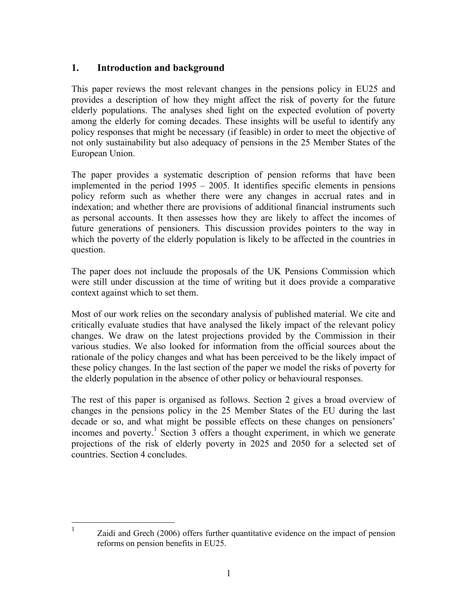### **1. Introduction and background**

This paper reviews the most relevant changes in the pensions policy in EU25 and provides a description of how they might affect the risk of poverty for the future elderly populations. The analyses shed light on the expected evolution of poverty among the elderly for coming decades. These insights will be useful to identify any policy responses that might be necessary (if feasible) in order to meet the objective of not only sustainability but also adequacy of pensions in the 25 Member States of the European Union.

The paper provides a systematic description of pension reforms that have been implemented in the period 1995 – 2005. It identifies specific elements in pensions policy reform such as whether there were any changes in accrual rates and in indexation; and whether there are provisions of additional financial instruments such as personal accounts. It then assesses how they are likely to affect the incomes of future generations of pensioners. This discussion provides pointers to the way in which the poverty of the elderly population is likely to be affected in the countries in question.

The paper does not incluude the proposals of the UK Pensions Commission which were still under discussion at the time of writing but it does provide a comparative context against which to set them.

Most of our work relies on the secondary analysis of published material. We cite and critically evaluate studies that have analysed the likely impact of the relevant policy changes. We draw on the latest projections provided by the Commission in their various studies. We also looked for information from the official sources about the rationale of the policy changes and what has been perceived to be the likely impact of these policy changes. In the last section of the paper we model the risks of poverty for the elderly population in the absence of other policy or behavioural responses.

The rest of this paper is organised as follows. Section 2 gives a broad overview of changes in the pensions policy in the 25 Member States of the EU during the last decade or so, and what might be possible effects on these changes on pensioners' incomes and poverty.<sup>1</sup> Section 3 offers a thought experiment, in which we generate projections of the risk of elderly poverty in 2025 and 2050 for a selected set of countries. Section 4 concludes.

1 Zaidi and Grech (2006) offers further quantitative evidence on the impact of pension reforms on pension benefits in EU25.

1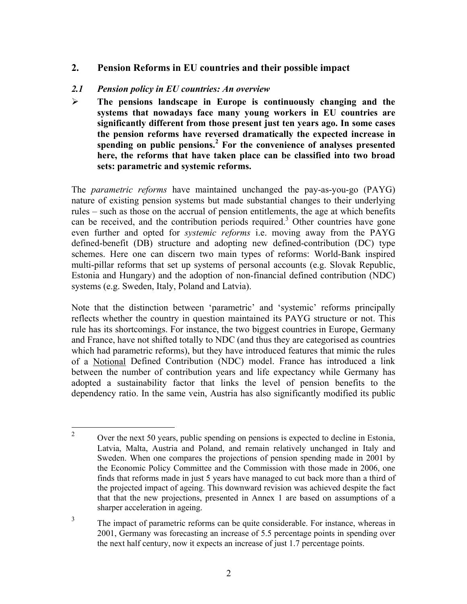### **2. Pension Reforms in EU countries and their possible impact**

#### *2.1 Pension policy in EU countries: An overview*

¾ **The pensions landscape in Europe is continuously changing and the systems that nowadays face many young workers in EU countries are significantly different from those present just ten years ago. In some cases the pension reforms have reversed dramatically the expected increase in spending on public pensions.<sup>2</sup> For the convenience of analyses presented here, the reforms that have taken place can be classified into two broad sets: parametric and systemic reforms.** 

The *parametric reforms* have maintained unchanged the pay-as-you-go (PAYG) nature of existing pension systems but made substantial changes to their underlying rules – such as those on the accrual of pension entitlements, the age at which benefits can be received, and the contribution periods required.<sup>3</sup> Other countries have gone even further and opted for *systemic reforms* i.e. moving away from the PAYG defined-benefit (DB) structure and adopting new defined-contribution (DC) type schemes. Here one can discern two main types of reforms: World-Bank inspired multi-pillar reforms that set up systems of personal accounts (e.g. Slovak Republic, Estonia and Hungary) and the adoption of non-financial defined contribution (NDC) systems (e.g. Sweden, Italy, Poland and Latvia).

Note that the distinction between 'parametric' and 'systemic' reforms principally reflects whether the country in question maintained its PAYG structure or not. This rule has its shortcomings. For instance, the two biggest countries in Europe, Germany and France, have not shifted totally to NDC (and thus they are categorised as countries which had parametric reforms), but they have introduced features that mimic the rules of a Notional Defined Contribution (NDC) model. France has introduced a link between the number of contribution years and life expectancy while Germany has adopted a sustainability factor that links the level of pension benefits to the dependency ratio. In the same vein, Austria has also significantly modified its public

 $\frac{1}{2}$  Over the next 50 years, public spending on pensions is expected to decline in Estonia, Latvia, Malta, Austria and Poland, and remain relatively unchanged in Italy and Sweden. When one compares the projections of pension spending made in 2001 by the Economic Policy Committee and the Commission with those made in 2006, one finds that reforms made in just 5 years have managed to cut back more than a third of the projected impact of ageing. This downward revision was achieved despite the fact that that the new projections, presented in Annex 1 are based on assumptions of a sharper acceleration in ageing.

<sup>3</sup> The impact of parametric reforms can be quite considerable. For instance, whereas in 2001, Germany was forecasting an increase of 5.5 percentage points in spending over the next half century, now it expects an increase of just 1.7 percentage points.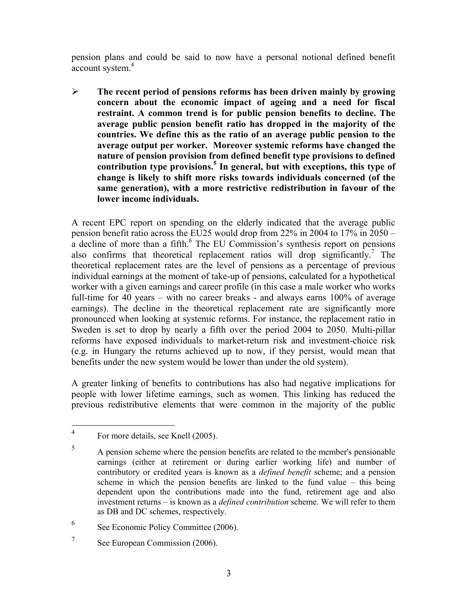pension plans and could be said to now have a personal notional defined benefit account system.<sup>4</sup>

¾ **The recent period of pensions reforms has been driven mainly by growing concern about the economic impact of ageing and a need for fiscal restraint. A common trend is for public pension benefits to decline. The average public pension benefit ratio has dropped in the majority of the countries. We define this as the ratio of an average public pension to the average output per worker. Moreover systemic reforms have changed the nature of pension provision from defined benefit type provisions to defined contribution type provisions.<sup>5</sup> In general, but with exceptions, this type of change is likely to shift more risks towards individuals concerned (of the same generation), with a more restrictive redistribution in favour of the lower income individuals.** 

A recent EPC report on spending on the elderly indicated that the average public pension benefit ratio across the EU25 would drop from 22% in 2004 to 17% in 2050 –  $\alpha$  decline of more than a fifth.<sup>6</sup> The EU Commission's synthesis report on pensions also confirms that theoretical replacement ratios will drop significantly.<sup>7</sup> The theoretical replacement rates are the level of pensions as a percentage of previous individual earnings at the moment of take-up of pensions, calculated for a hypothetical worker with a given earnings and career profile (in this case a male worker who works full-time for 40 years – with no career breaks - and always earns 100% of average earnings). The decline in the theoretical replacement rate are significantly more pronounced when looking at systemic reforms. For instance, the replacement ratio in Sweden is set to drop by nearly a fifth over the period 2004 to 2050. Multi-pillar reforms have exposed individuals to market-return risk and investment-choice risk (e.g. in Hungary the returns achieved up to now, if they persist, would mean that benefits under the new system would be lower than under the old system).

A greater linking of benefits to contributions has also had negative implications for people with lower lifetime earnings, such as women. This linking has reduced the previous redistributive elements that were common in the majority of the public

 $\overline{a}$ 

- 6 See Economic Policy Committee (2006).
- 7 See European Commission (2006).

<sup>4</sup> For more details, see Knell (2005).

<sup>5</sup> A pension scheme where the pension benefits are related to the member's pensionable earnings (either at retirement or during earlier working life) and number of contributory or credited years is known as a *defined benefit* scheme; and a pension scheme in which the pension benefits are linked to the fund value – this being dependent upon the contributions made into the fund, retirement age and also investment returns – is known as a *defined contribution* scheme. We will refer to them as DB and DC schemes, respectively.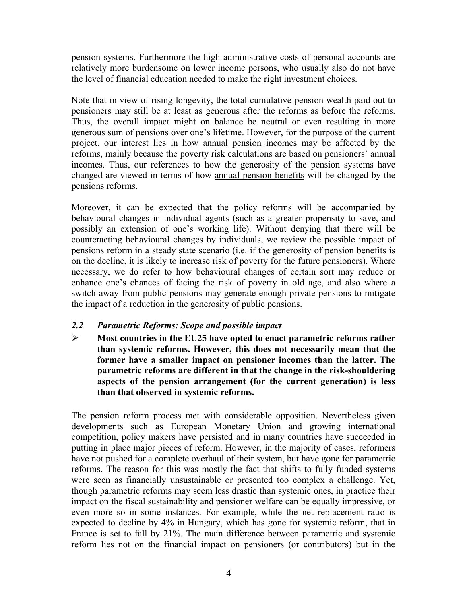pension systems. Furthermore the high administrative costs of personal accounts are relatively more burdensome on lower income persons, who usually also do not have the level of financial education needed to make the right investment choices.

Note that in view of rising longevity, the total cumulative pension wealth paid out to pensioners may still be at least as generous after the reforms as before the reforms. Thus, the overall impact might on balance be neutral or even resulting in more generous sum of pensions over one's lifetime. However, for the purpose of the current project, our interest lies in how annual pension incomes may be affected by the reforms, mainly because the poverty risk calculations are based on pensioners' annual incomes. Thus, our references to how the generosity of the pension systems have changed are viewed in terms of how annual pension benefits will be changed by the pensions reforms.

Moreover, it can be expected that the policy reforms will be accompanied by behavioural changes in individual agents (such as a greater propensity to save, and possibly an extension of one's working life). Without denying that there will be counteracting behavioural changes by individuals, we review the possible impact of pensions reform in a steady state scenario (i.e. if the generosity of pension benefits is on the decline, it is likely to increase risk of poverty for the future pensioners). Where necessary, we do refer to how behavioural changes of certain sort may reduce or enhance one's chances of facing the risk of poverty in old age, and also where a switch away from public pensions may generate enough private pensions to mitigate the impact of a reduction in the generosity of public pensions.

#### *2.2 Parametric Reforms: Scope and possible impact*

¾ **Most countries in the EU25 have opted to enact parametric reforms rather than systemic reforms. However, this does not necessarily mean that the former have a smaller impact on pensioner incomes than the latter. The parametric reforms are different in that the change in the risk-shouldering aspects of the pension arrangement (for the current generation) is less than that observed in systemic reforms.** 

The pension reform process met with considerable opposition. Nevertheless given developments such as European Monetary Union and growing international competition, policy makers have persisted and in many countries have succeeded in putting in place major pieces of reform. However, in the majority of cases, reformers have not pushed for a complete overhaul of their system, but have gone for parametric reforms. The reason for this was mostly the fact that shifts to fully funded systems were seen as financially unsustainable or presented too complex a challenge. Yet, though parametric reforms may seem less drastic than systemic ones, in practice their impact on the fiscal sustainability and pensioner welfare can be equally impressive, or even more so in some instances. For example, while the net replacement ratio is expected to decline by 4% in Hungary, which has gone for systemic reform, that in France is set to fall by 21%. The main difference between parametric and systemic reform lies not on the financial impact on pensioners (or contributors) but in the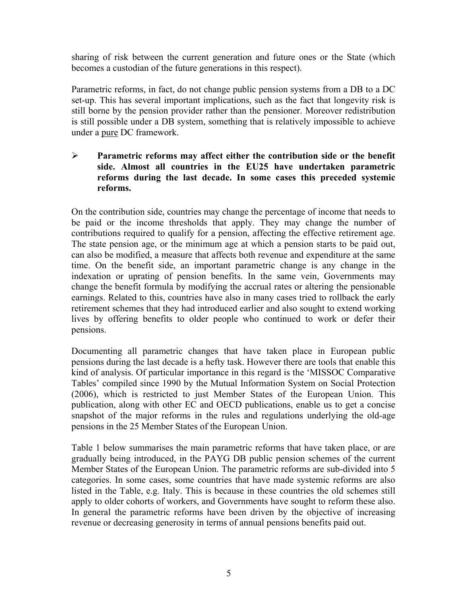sharing of risk between the current generation and future ones or the State (which becomes a custodian of the future generations in this respect).

Parametric reforms, in fact, do not change public pension systems from a DB to a DC set-up. This has several important implications, such as the fact that longevity risk is still borne by the pension provider rather than the pensioner. Moreover redistribution is still possible under a DB system, something that is relatively impossible to achieve under a pure DC framework.

### ¾ **Parametric reforms may affect either the contribution side or the benefit side. Almost all countries in the EU25 have undertaken parametric reforms during the last decade. In some cases this preceded systemic reforms.**

On the contribution side, countries may change the percentage of income that needs to be paid or the income thresholds that apply. They may change the number of contributions required to qualify for a pension, affecting the effective retirement age. The state pension age, or the minimum age at which a pension starts to be paid out, can also be modified, a measure that affects both revenue and expenditure at the same time. On the benefit side, an important parametric change is any change in the indexation or uprating of pension benefits. In the same vein, Governments may change the benefit formula by modifying the accrual rates or altering the pensionable earnings. Related to this, countries have also in many cases tried to rollback the early retirement schemes that they had introduced earlier and also sought to extend working lives by offering benefits to older people who continued to work or defer their pensions.

Documenting all parametric changes that have taken place in European public pensions during the last decade is a hefty task. However there are tools that enable this kind of analysis. Of particular importance in this regard is the 'MISSOC Comparative Tables' compiled since 1990 by the Mutual Information System on Social Protection (2006), which is restricted to just Member States of the European Union. This publication, along with other EC and OECD publications, enable us to get a concise snapshot of the major reforms in the rules and regulations underlying the old-age pensions in the 25 Member States of the European Union.

Table 1 below summarises the main parametric reforms that have taken place, or are gradually being introduced, in the PAYG DB public pension schemes of the current Member States of the European Union. The parametric reforms are sub-divided into 5 categories. In some cases, some countries that have made systemic reforms are also listed in the Table, e.g. Italy. This is because in these countries the old schemes still apply to older cohorts of workers, and Governments have sought to reform these also. In general the parametric reforms have been driven by the objective of increasing revenue or decreasing generosity in terms of annual pensions benefits paid out.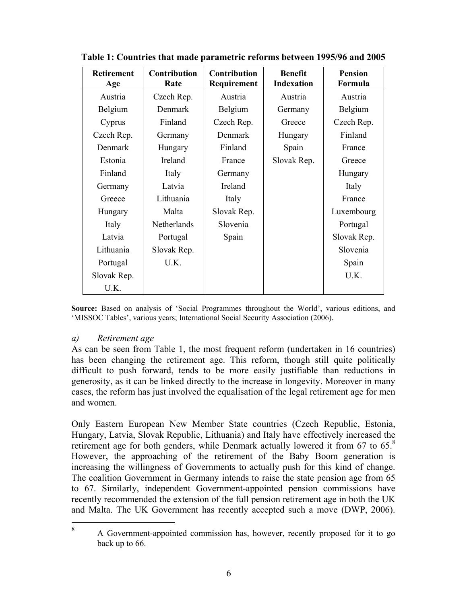| <b>Retirement</b><br>Age | Contribution<br>Rate | <b>Contribution</b><br>Requirement | <b>Benefit</b><br><b>Indexation</b> | <b>Pension</b><br>Formula |
|--------------------------|----------------------|------------------------------------|-------------------------------------|---------------------------|
| Austria                  | Czech Rep.           | Austria                            | Austria                             | Austria                   |
| Belgium                  | Denmark              | Belgium                            | Germany                             | Belgium                   |
| Cyprus                   | Finland              | Czech Rep.                         | Greece                              | Czech Rep.                |
| Czech Rep.               | Germany              | Denmark                            | Hungary                             | Finland                   |
| Denmark                  | Hungary              | Finland                            | Spain                               | France                    |
| Estonia                  | Ireland              | France                             | Slovak Rep.                         | Greece                    |
| Finland                  | Italy                | Germany                            |                                     | Hungary                   |
| Germany                  | Latvia               | Ireland                            |                                     | Italy                     |
| Greece                   | Lithuania            | Italy                              |                                     | France                    |
| Hungary                  | Malta                | Slovak Rep.                        |                                     | Luxembourg                |
| Italy                    | Netherlands          | Slovenia                           |                                     | Portugal                  |
| Latvia                   | Portugal             | Spain                              |                                     | Slovak Rep.               |
| Lithuania                | Slovak Rep.          |                                    |                                     | Slovenia                  |
| Portugal                 | U.K.                 |                                    |                                     | Spain                     |
| Slovak Rep.              |                      |                                    |                                     | U.K.                      |
| U.K.                     |                      |                                    |                                     |                           |

**Table 1: Countries that made parametric reforms between 1995/96 and 2005** 

**Source:** Based on analysis of 'Social Programmes throughout the World', various editions, and 'MISSOC Tables', various years; International Social Security Association (2006).

#### *a) Retirement age*

1 8

As can be seen from Table 1, the most frequent reform (undertaken in 16 countries) has been changing the retirement age. This reform, though still quite politically difficult to push forward, tends to be more easily justifiable than reductions in generosity, as it can be linked directly to the increase in longevity. Moreover in many cases, the reform has just involved the equalisation of the legal retirement age for men and women.

Only Eastern European New Member State countries (Czech Republic, Estonia, Hungary, Latvia, Slovak Republic, Lithuania) and Italy have effectively increased the retirement age for both genders, while Denmark actually lowered it from 67 to 65.<sup>8</sup> However, the approaching of the retirement of the Baby Boom generation is increasing the willingness of Governments to actually push for this kind of change. The coalition Government in Germany intends to raise the state pension age from 65 to 67. Similarly, independent Government-appointed pension commissions have recently recommended the extension of the full pension retirement age in both the UK and Malta. The UK Government has recently accepted such a move (DWP, 2006).

 A Government-appointed commission has, however, recently proposed for it to go back up to 66.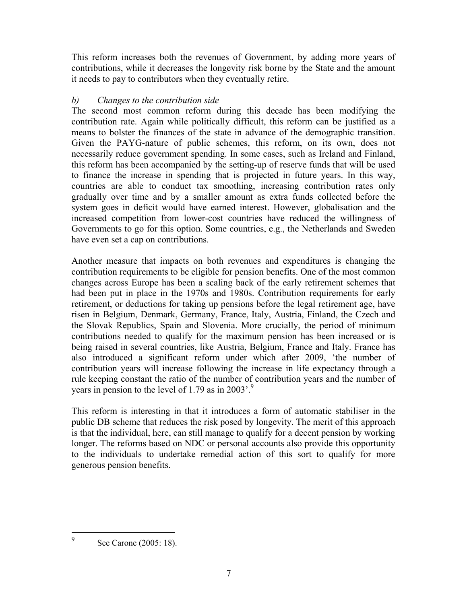This reform increases both the revenues of Government, by adding more years of contributions, while it decreases the longevity risk borne by the State and the amount it needs to pay to contributors when they eventually retire.

### *b) Changes to the contribution side*

The second most common reform during this decade has been modifying the contribution rate. Again while politically difficult, this reform can be justified as a means to bolster the finances of the state in advance of the demographic transition. Given the PAYG-nature of public schemes, this reform, on its own, does not necessarily reduce government spending. In some cases, such as Ireland and Finland, this reform has been accompanied by the setting-up of reserve funds that will be used to finance the increase in spending that is projected in future years. In this way, countries are able to conduct tax smoothing, increasing contribution rates only gradually over time and by a smaller amount as extra funds collected before the system goes in deficit would have earned interest. However, globalisation and the increased competition from lower-cost countries have reduced the willingness of Governments to go for this option. Some countries, e.g., the Netherlands and Sweden have even set a cap on contributions.

Another measure that impacts on both revenues and expenditures is changing the contribution requirements to be eligible for pension benefits. One of the most common changes across Europe has been a scaling back of the early retirement schemes that had been put in place in the 1970s and 1980s. Contribution requirements for early retirement, or deductions for taking up pensions before the legal retirement age, have risen in Belgium, Denmark, Germany, France, Italy, Austria, Finland, the Czech and the Slovak Republics, Spain and Slovenia. More crucially, the period of minimum contributions needed to qualify for the maximum pension has been increased or is being raised in several countries, like Austria, Belgium, France and Italy. France has also introduced a significant reform under which after 2009, 'the number of contribution years will increase following the increase in life expectancy through a rule keeping constant the ratio of the number of contribution years and the number of years in pension to the level of 1.79 as in 2003'.<sup>9</sup>

This reform is interesting in that it introduces a form of automatic stabiliser in the public DB scheme that reduces the risk posed by longevity. The merit of this approach is that the individual, here, can still manage to qualify for a decent pension by working longer. The reforms based on NDC or personal accounts also provide this opportunity to the individuals to undertake remedial action of this sort to qualify for more generous pension benefits.

See Carone (2005: 18).

 $\overline{a}$ 9

7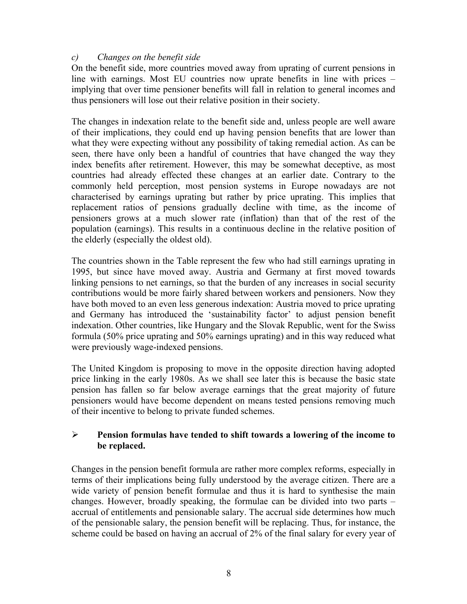### *c) Changes on the benefit side*

On the benefit side, more countries moved away from uprating of current pensions in line with earnings. Most EU countries now uprate benefits in line with prices – implying that over time pensioner benefits will fall in relation to general incomes and thus pensioners will lose out their relative position in their society.

The changes in indexation relate to the benefit side and, unless people are well aware of their implications, they could end up having pension benefits that are lower than what they were expecting without any possibility of taking remedial action. As can be seen, there have only been a handful of countries that have changed the way they index benefits after retirement. However, this may be somewhat deceptive, as most countries had already effected these changes at an earlier date. Contrary to the commonly held perception, most pension systems in Europe nowadays are not characterised by earnings uprating but rather by price uprating. This implies that replacement ratios of pensions gradually decline with time, as the income of pensioners grows at a much slower rate (inflation) than that of the rest of the population (earnings). This results in a continuous decline in the relative position of the elderly (especially the oldest old).

The countries shown in the Table represent the few who had still earnings uprating in 1995, but since have moved away. Austria and Germany at first moved towards linking pensions to net earnings, so that the burden of any increases in social security contributions would be more fairly shared between workers and pensioners. Now they have both moved to an even less generous indexation: Austria moved to price uprating and Germany has introduced the 'sustainability factor' to adjust pension benefit indexation. Other countries, like Hungary and the Slovak Republic, went for the Swiss formula (50% price uprating and 50% earnings uprating) and in this way reduced what were previously wage-indexed pensions.

The United Kingdom is proposing to move in the opposite direction having adopted price linking in the early 1980s. As we shall see later this is because the basic state pension has fallen so far below average earnings that the great majority of future pensioners would have become dependent on means tested pensions removing much of their incentive to belong to private funded schemes.

#### ¾ **Pension formulas have tended to shift towards a lowering of the income to be replaced.**

Changes in the pension benefit formula are rather more complex reforms, especially in terms of their implications being fully understood by the average citizen. There are a wide variety of pension benefit formulae and thus it is hard to synthesise the main changes. However, broadly speaking, the formulae can be divided into two parts – accrual of entitlements and pensionable salary. The accrual side determines how much of the pensionable salary, the pension benefit will be replacing. Thus, for instance, the scheme could be based on having an accrual of 2% of the final salary for every year of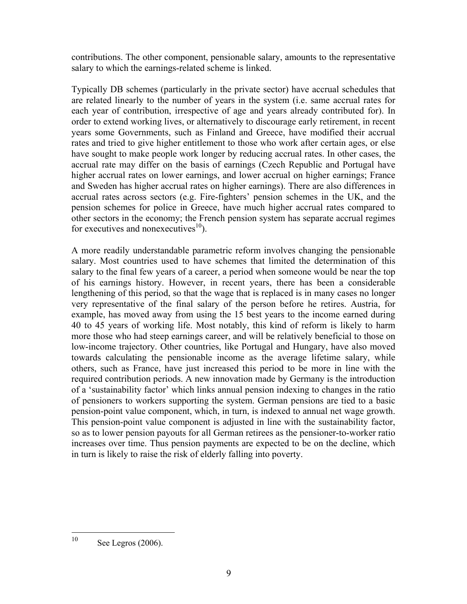contributions. The other component, pensionable salary, amounts to the representative salary to which the earnings-related scheme is linked.

Typically DB schemes (particularly in the private sector) have accrual schedules that are related linearly to the number of years in the system (i.e. same accrual rates for each year of contribution, irrespective of age and years already contributed for). In order to extend working lives, or alternatively to discourage early retirement, in recent years some Governments, such as Finland and Greece, have modified their accrual rates and tried to give higher entitlement to those who work after certain ages, or else have sought to make people work longer by reducing accrual rates. In other cases, the accrual rate may differ on the basis of earnings (Czech Republic and Portugal have higher accrual rates on lower earnings, and lower accrual on higher earnings; France and Sweden has higher accrual rates on higher earnings). There are also differences in accrual rates across sectors (e.g. Fire-fighters' pension schemes in the UK, and the pension schemes for police in Greece, have much higher accrual rates compared to other sectors in the economy; the French pension system has separate accrual regimes for executives and nonexecutives<sup>10</sup>).

A more readily understandable parametric reform involves changing the pensionable salary. Most countries used to have schemes that limited the determination of this salary to the final few years of a career, a period when someone would be near the top of his earnings history. However, in recent years, there has been a considerable lengthening of this period, so that the wage that is replaced is in many cases no longer very representative of the final salary of the person before he retires. Austria, for example, has moved away from using the 15 best years to the income earned during 40 to 45 years of working life. Most notably, this kind of reform is likely to harm more those who had steep earnings career, and will be relatively beneficial to those on low-income trajectory. Other countries, like Portugal and Hungary, have also moved towards calculating the pensionable income as the average lifetime salary, while others, such as France, have just increased this period to be more in line with the required contribution periods. A new innovation made by Germany is the introduction of a 'sustainability factor' which links annual pension indexing to changes in the ratio of pensioners to workers supporting the system. German pensions are tied to a basic pension-point value component, which, in turn, is indexed to annual net wage growth. This pension-point value component is adjusted in line with the sustainability factor, so as to lower pension payouts for all German retirees as the pensioner-to-worker ratio increases over time. Thus pension payments are expected to be on the decline, which in turn is likely to raise the risk of elderly falling into poverty.

 $10<sup>10</sup>$ See Legros (2006).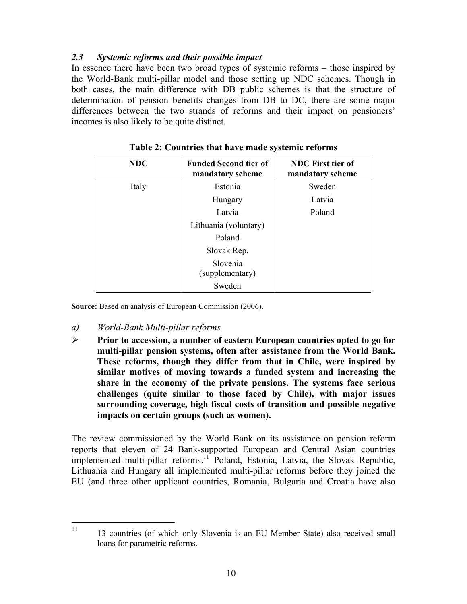### *2.3 Systemic reforms and their possible impact*

In essence there have been two broad types of systemic reforms – those inspired by the World-Bank multi-pillar model and those setting up NDC schemes. Though in both cases, the main difference with DB public schemes is that the structure of determination of pension benefits changes from DB to DC, there are some major differences between the two strands of reforms and their impact on pensioners' incomes is also likely to be quite distinct.

| <b>NDC</b> | <b>Funded Second tier of</b><br>mandatory scheme | <b>NDC</b> First tier of<br>mandatory scheme |
|------------|--------------------------------------------------|----------------------------------------------|
| Italy      | Estonia                                          | Sweden                                       |
|            | Hungary                                          | Latvia                                       |
|            | Latvia                                           | Poland                                       |
|            | Lithuania (voluntary)                            |                                              |
|            | Poland                                           |                                              |
|            | Slovak Rep.                                      |                                              |
|            | Slovenia<br>(supplementary)                      |                                              |
|            | Sweden                                           |                                              |

**Table 2: Countries that have made systemic reforms** 

**Source:** Based on analysis of European Commission (2006).

- *a) World-Bank Multi-pillar reforms*
- ¾ **Prior to accession, a number of eastern European countries opted to go for multi-pillar pension systems, often after assistance from the World Bank. These reforms, though they differ from that in Chile, were inspired by similar motives of moving towards a funded system and increasing the share in the economy of the private pensions. The systems face serious challenges (quite similar to those faced by Chile), with major issues surrounding coverage, high fiscal costs of transition and possible negative impacts on certain groups (such as women).**

The review commissioned by the World Bank on its assistance on pension reform reports that eleven of 24 Bank-supported European and Central Asian countries implemented multi-pillar reforms.<sup>11</sup> Poland, Estonia, Latvia, the Slovak Republic, Lithuania and Hungary all implemented multi-pillar reforms before they joined the EU (and three other applicant countries, Romania, Bulgaria and Croatia have also

 $11<sup>1</sup>$ 11 13 countries (of which only Slovenia is an EU Member State) also received small loans for parametric reforms.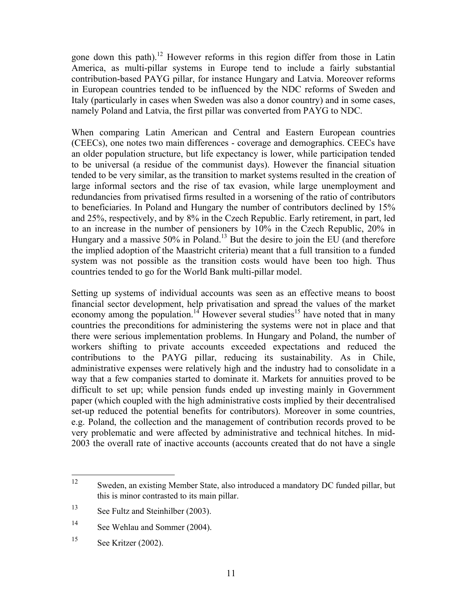gone down this path).12 However reforms in this region differ from those in Latin America, as multi-pillar systems in Europe tend to include a fairly substantial contribution-based PAYG pillar, for instance Hungary and Latvia. Moreover reforms in European countries tended to be influenced by the NDC reforms of Sweden and Italy (particularly in cases when Sweden was also a donor country) and in some cases, namely Poland and Latvia, the first pillar was converted from PAYG to NDC.

When comparing Latin American and Central and Eastern European countries (CEECs), one notes two main differences - coverage and demographics. CEECs have an older population structure, but life expectancy is lower, while participation tended to be universal (a residue of the communist days). However the financial situation tended to be very similar, as the transition to market systems resulted in the creation of large informal sectors and the rise of tax evasion, while large unemployment and redundancies from privatised firms resulted in a worsening of the ratio of contributors to beneficiaries. In Poland and Hungary the number of contributors declined by 15% and 25%, respectively, and by 8% in the Czech Republic. Early retirement, in part, led to an increase in the number of pensioners by 10% in the Czech Republic, 20% in Hungary and a massive  $50\%$  in Poland.<sup>13</sup> But the desire to join the EU (and therefore the implied adoption of the Maastricht criteria) meant that a full transition to a funded system was not possible as the transition costs would have been too high. Thus countries tended to go for the World Bank multi-pillar model.

Setting up systems of individual accounts was seen as an effective means to boost financial sector development, help privatisation and spread the values of the market economy among the population.<sup>14</sup> However several studies<sup>15</sup> have noted that in many countries the preconditions for administering the systems were not in place and that there were serious implementation problems. In Hungary and Poland, the number of workers shifting to private accounts exceeded expectations and reduced the contributions to the PAYG pillar, reducing its sustainability. As in Chile, administrative expenses were relatively high and the industry had to consolidate in a way that a few companies started to dominate it. Markets for annuities proved to be difficult to set up; while pension funds ended up investing mainly in Government paper (which coupled with the high administrative costs implied by their decentralised set-up reduced the potential benefits for contributors). Moreover in some countries, e.g. Poland, the collection and the management of contribution records proved to be very problematic and were affected by administrative and technical hitches. In mid-2003 the overall rate of inactive accounts (accounts created that do not have a single

 $12<sup>12</sup>$ Sweden, an existing Member State, also introduced a mandatory DC funded pillar, but this is minor contrasted to its main pillar.

<sup>13</sup> See Fultz and Steinhilber (2003).

<sup>14</sup> See Wehlau and Sommer (2004).

<sup>&</sup>lt;sup>15</sup> See Kritzer (2002).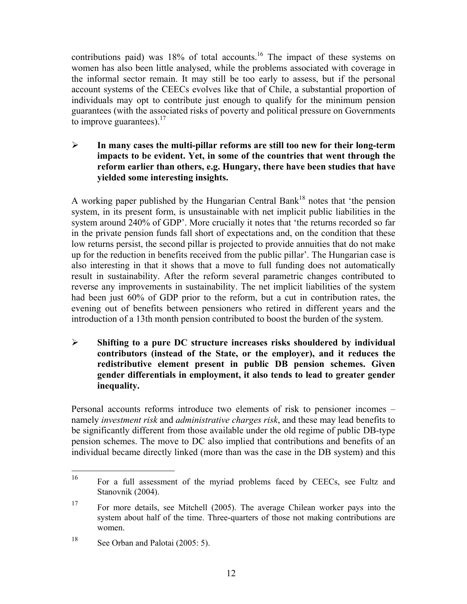contributions paid) was 18% of total accounts.<sup>16</sup> The impact of these systems on women has also been little analysed, while the problems associated with coverage in the informal sector remain. It may still be too early to assess, but if the personal account systems of the CEECs evolves like that of Chile, a substantial proportion of individuals may opt to contribute just enough to qualify for the minimum pension guarantees (with the associated risks of poverty and political pressure on Governments to improve guarantees). $17$ 

¾ **In many cases the multi-pillar reforms are still too new for their long-term impacts to be evident. Yet, in some of the countries that went through the reform earlier than others, e.g. Hungary, there have been studies that have yielded some interesting insights.** 

A working paper published by the Hungarian Central Bank<sup>18</sup> notes that 'the pension system, in its present form, is unsustainable with net implicit public liabilities in the system around 240% of GDP'. More crucially it notes that 'the returns recorded so far in the private pension funds fall short of expectations and, on the condition that these low returns persist, the second pillar is projected to provide annuities that do not make up for the reduction in benefits received from the public pillar'. The Hungarian case is also interesting in that it shows that a move to full funding does not automatically result in sustainability. After the reform several parametric changes contributed to reverse any improvements in sustainability. The net implicit liabilities of the system had been just 60% of GDP prior to the reform, but a cut in contribution rates, the evening out of benefits between pensioners who retired in different years and the introduction of a 13th month pension contributed to boost the burden of the system.

¾ **Shifting to a pure DC structure increases risks shouldered by individual contributors (instead of the State, or the employer), and it reduces the redistributive element present in public DB pension schemes. Given gender differentials in employment, it also tends to lead to greater gender inequality.** 

Personal accounts reforms introduce two elements of risk to pensioner incomes – namely *investment risk* and *administrative charges risk*, and these may lead benefits to be significantly different from those available under the old regime of public DB-type pension schemes. The move to DC also implied that contributions and benefits of an individual became directly linked (more than was the case in the DB system) and this

<sup>16</sup> 16 For a full assessment of the myriad problems faced by CEECs, see Fultz and Stanovnik (2004).

<sup>17</sup> For more details, see Mitchell (2005). The average Chilean worker pays into the system about half of the time. Three-quarters of those not making contributions are women.

<sup>&</sup>lt;sup>18</sup> See Orban and Palotai (2005: 5).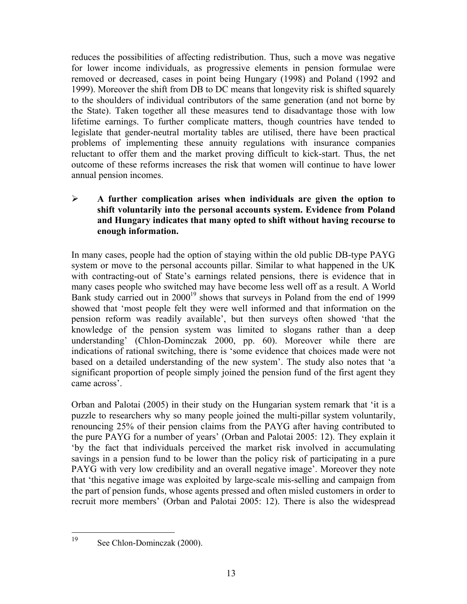reduces the possibilities of affecting redistribution. Thus, such a move was negative for lower income individuals, as progressive elements in pension formulae were removed or decreased, cases in point being Hungary (1998) and Poland (1992 and 1999). Moreover the shift from DB to DC means that longevity risk is shifted squarely to the shoulders of individual contributors of the same generation (and not borne by the State). Taken together all these measures tend to disadvantage those with low lifetime earnings. To further complicate matters, though countries have tended to legislate that gender-neutral mortality tables are utilised, there have been practical problems of implementing these annuity regulations with insurance companies reluctant to offer them and the market proving difficult to kick-start. Thus, the net outcome of these reforms increases the risk that women will continue to have lower annual pension incomes.

### ¾ **A further complication arises when individuals are given the option to shift voluntarily into the personal accounts system. Evidence from Poland and Hungary indicates that many opted to shift without having recourse to enough information.**

In many cases, people had the option of staying within the old public DB-type PAYG system or move to the personal accounts pillar. Similar to what happened in the UK with contracting-out of State's earnings related pensions, there is evidence that in many cases people who switched may have become less well off as a result. A World Bank study carried out in 2000<sup>19</sup> shows that surveys in Poland from the end of 1999 showed that 'most people felt they were well informed and that information on the pension reform was readily available', but then surveys often showed 'that the knowledge of the pension system was limited to slogans rather than a deep understanding' (Chlon-Dominczak 2000, pp. 60). Moreover while there are indications of rational switching, there is 'some evidence that choices made were not based on a detailed understanding of the new system'. The study also notes that 'a significant proportion of people simply joined the pension fund of the first agent they came across'.

Orban and Palotai (2005) in their study on the Hungarian system remark that 'it is a puzzle to researchers why so many people joined the multi-pillar system voluntarily, renouncing 25% of their pension claims from the PAYG after having contributed to the pure PAYG for a number of years' (Orban and Palotai 2005: 12). They explain it 'by the fact that individuals perceived the market risk involved in accumulating savings in a pension fund to be lower than the policy risk of participating in a pure PAYG with very low credibility and an overall negative image'. Moreover they note that 'this negative image was exploited by large-scale mis-selling and campaign from the part of pension funds, whose agents pressed and often misled customers in order to recruit more members' (Orban and Palotai 2005: 12). There is also the widespread

 $19$ 

See Chlon-Dominczak (2000).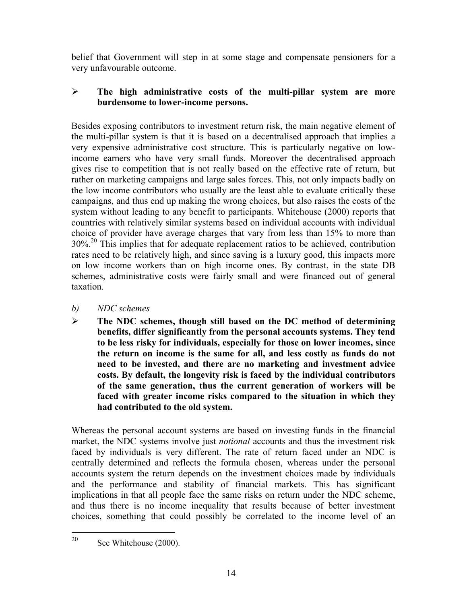belief that Government will step in at some stage and compensate pensioners for a very unfavourable outcome.

### ¾ **The high administrative costs of the multi-pillar system are more burdensome to lower-income persons.**

Besides exposing contributors to investment return risk, the main negative element of the multi-pillar system is that it is based on a decentralised approach that implies a very expensive administrative cost structure. This is particularly negative on lowincome earners who have very small funds. Moreover the decentralised approach gives rise to competition that is not really based on the effective rate of return, but rather on marketing campaigns and large sales forces. This, not only impacts badly on the low income contributors who usually are the least able to evaluate critically these campaigns, and thus end up making the wrong choices, but also raises the costs of the system without leading to any benefit to participants. Whitehouse (2000) reports that countries with relatively similar systems based on individual accounts with individual choice of provider have average charges that vary from less than 15% to more than 30%.20 This implies that for adequate replacement ratios to be achieved, contribution rates need to be relatively high, and since saving is a luxury good, this impacts more on low income workers than on high income ones. By contrast, in the state DB schemes, administrative costs were fairly small and were financed out of general taxation.

- *b) NDC schemes*
- ¾ **The NDC schemes, though still based on the DC method of determining benefits, differ significantly from the personal accounts systems. They tend to be less risky for individuals, especially for those on lower incomes, since the return on income is the same for all, and less costly as funds do not need to be invested, and there are no marketing and investment advice costs. By default, the longevity risk is faced by the individual contributors of the same generation, thus the current generation of workers will be faced with greater income risks compared to the situation in which they had contributed to the old system.**

Whereas the personal account systems are based on investing funds in the financial market, the NDC systems involve just *notional* accounts and thus the investment risk faced by individuals is very different. The rate of return faced under an NDC is centrally determined and reflects the formula chosen, whereas under the personal accounts system the return depends on the investment choices made by individuals and the performance and stability of financial markets. This has significant implications in that all people face the same risks on return under the NDC scheme, and thus there is no income inequality that results because of better investment choices, something that could possibly be correlated to the income level of an

20 See Whitehouse (2000).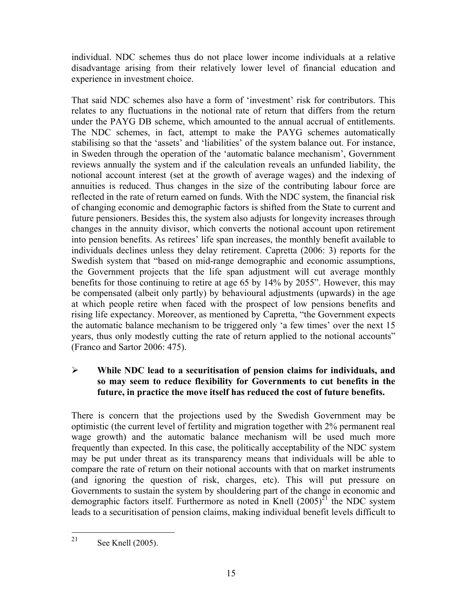individual. NDC schemes thus do not place lower income individuals at a relative disadvantage arising from their relatively lower level of financial education and experience in investment choice.

That said NDC schemes also have a form of 'investment' risk for contributors. This relates to any fluctuations in the notional rate of return that differs from the return under the PAYG DB scheme, which amounted to the annual accrual of entitlements. The NDC schemes, in fact, attempt to make the PAYG schemes automatically stabilising so that the 'assets' and 'liabilities' of the system balance out. For instance, in Sweden through the operation of the 'automatic balance mechanism', Government reviews annually the system and if the calculation reveals an unfunded liability, the notional account interest (set at the growth of average wages) and the indexing of annuities is reduced. Thus changes in the size of the contributing labour force are reflected in the rate of return earned on funds. With the NDC system, the financial risk of changing economic and demographic factors is shifted from the State to current and future pensioners. Besides this, the system also adjusts for longevity increases through changes in the annuity divisor, which converts the notional account upon retirement into pension benefits. As retirees' life span increases, the monthly benefit available to individuals declines unless they delay retirement. Capretta (2006: 3) reports for the Swedish system that "based on mid-range demographic and economic assumptions, the Government projects that the life span adjustment will cut average monthly benefits for those continuing to retire at age 65 by 14% by 2055". However, this may be compensated (albeit only partly) by behavioural adjustments (upwards) in the age at which people retire when faced with the prospect of low pensions benefits and rising life expectancy. Moreover, as mentioned by Capretta, "the Government expects the automatic balance mechanism to be triggered only 'a few times' over the next 15 years, thus only modestly cutting the rate of return applied to the notional accounts" (Franco and Sartor 2006: 475).

### ¾ **While NDC lead to a securitisation of pension claims for individuals, and so may seem to reduce flexibility for Governments to cut benefits in the future, in practice the move itself has reduced the cost of future benefits.**

There is concern that the projections used by the Swedish Government may be optimistic (the current level of fertility and migration together with 2% permanent real wage growth) and the automatic balance mechanism will be used much more frequently than expected. In this case, the politically acceptability of the NDC system may be put under threat as its transparency means that individuals will be able to compare the rate of return on their notional accounts with that on market instruments (and ignoring the question of risk, charges, etc). This will put pressure on Governments to sustain the system by shouldering part of the change in economic and demographic factors itself. Furthermore as noted in Knell  $(2005)^{\tilde{2}1}$  the NDC system leads to a securitisation of pension claims, making individual benefit levels difficult to

<sup>21</sup> See Knell (2005).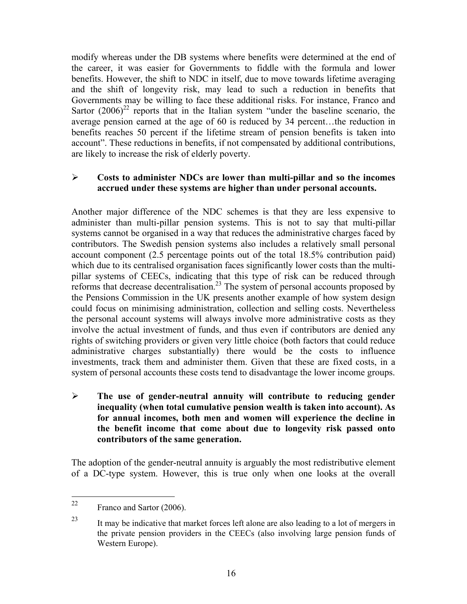modify whereas under the DB systems where benefits were determined at the end of the career, it was easier for Governments to fiddle with the formula and lower benefits. However, the shift to NDC in itself, due to move towards lifetime averaging and the shift of longevity risk, may lead to such a reduction in benefits that Governments may be willing to face these additional risks. For instance, Franco and Sartor  $(2006)^{22}$  reports that in the Italian system "under the baseline scenario, the average pension earned at the age of 60 is reduced by 34 percent…the reduction in benefits reaches 50 percent if the lifetime stream of pension benefits is taken into account". These reductions in benefits, if not compensated by additional contributions, are likely to increase the risk of elderly poverty.

#### ¾ **Costs to administer NDCs are lower than multi-pillar and so the incomes accrued under these systems are higher than under personal accounts.**

Another major difference of the NDC schemes is that they are less expensive to administer than multi-pillar pension systems. This is not to say that multi-pillar systems cannot be organised in a way that reduces the administrative charges faced by contributors. The Swedish pension systems also includes a relatively small personal account component (2.5 percentage points out of the total 18.5% contribution paid) which due to its centralised organisation faces significantly lower costs than the multipillar systems of CEECs, indicating that this type of risk can be reduced through reforms that decrease decentralisation.<sup>23</sup> The system of personal accounts proposed by the Pensions Commission in the UK presents another example of how system design could focus on minimising administration, collection and selling costs. Nevertheless the personal account systems will always involve more administrative costs as they involve the actual investment of funds, and thus even if contributors are denied any rights of switching providers or given very little choice (both factors that could reduce administrative charges substantially) there would be the costs to influence investments, track them and administer them. Given that these are fixed costs, in a system of personal accounts these costs tend to disadvantage the lower income groups.

¾ **The use of gender-neutral annuity will contribute to reducing gender inequality (when total cumulative pension wealth is taken into account). As for annual incomes, both men and women will experience the decline in the benefit income that come about due to longevity risk passed onto contributors of the same generation.** 

The adoption of the gender-neutral annuity is arguably the most redistributive element of a DC-type system. However, this is true only when one looks at the overall

 $22$ Franco and Sartor (2006).

<sup>&</sup>lt;sup>23</sup> It may be indicative that market forces left alone are also leading to a lot of mergers in the private pension providers in the CEECs (also involving large pension funds of Western Europe).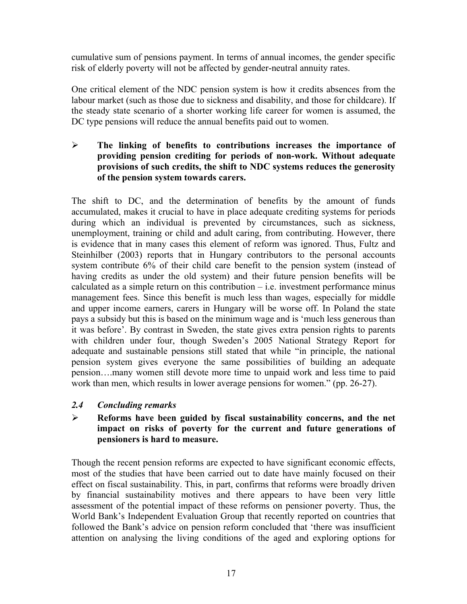cumulative sum of pensions payment. In terms of annual incomes, the gender specific risk of elderly poverty will not be affected by gender-neutral annuity rates.

One critical element of the NDC pension system is how it credits absences from the labour market (such as those due to sickness and disability, and those for childcare). If the steady state scenario of a shorter working life career for women is assumed, the DC type pensions will reduce the annual benefits paid out to women.

¾ **The linking of benefits to contributions increases the importance of providing pension crediting for periods of non-work. Without adequate provisions of such credits, the shift to NDC systems reduces the generosity of the pension system towards carers.** 

The shift to DC, and the determination of benefits by the amount of funds accumulated, makes it crucial to have in place adequate crediting systems for periods during which an individual is prevented by circumstances, such as sickness, unemployment, training or child and adult caring, from contributing. However, there is evidence that in many cases this element of reform was ignored. Thus, Fultz and Steinhilber (2003) reports that in Hungary contributors to the personal accounts system contribute 6% of their child care benefit to the pension system (instead of having credits as under the old system) and their future pension benefits will be calculated as a simple return on this contribution  $-$  i.e. investment performance minus management fees. Since this benefit is much less than wages, especially for middle and upper income earners, carers in Hungary will be worse off. In Poland the state pays a subsidy but this is based on the minimum wage and is 'much less generous than it was before'. By contrast in Sweden, the state gives extra pension rights to parents with children under four, though Sweden's 2005 National Strategy Report for adequate and sustainable pensions still stated that while "in principle, the national pension system gives everyone the same possibilities of building an adequate pension….many women still devote more time to unpaid work and less time to paid work than men, which results in lower average pensions for women." (pp. 26-27).

#### *2.4 Concluding remarks*

### ¾ **Reforms have been guided by fiscal sustainability concerns, and the net impact on risks of poverty for the current and future generations of pensioners is hard to measure.**

Though the recent pension reforms are expected to have significant economic effects, most of the studies that have been carried out to date have mainly focused on their effect on fiscal sustainability. This, in part, confirms that reforms were broadly driven by financial sustainability motives and there appears to have been very little assessment of the potential impact of these reforms on pensioner poverty. Thus, the World Bank's Independent Evaluation Group that recently reported on countries that followed the Bank's advice on pension reform concluded that 'there was insufficient attention on analysing the living conditions of the aged and exploring options for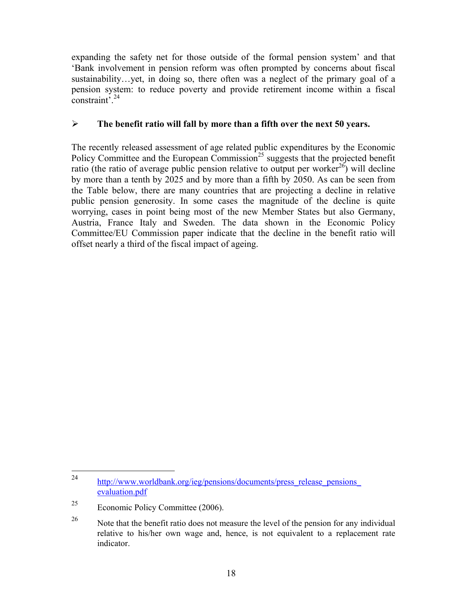expanding the safety net for those outside of the formal pension system' and that 'Bank involvement in pension reform was often prompted by concerns about fiscal sustainability…yet, in doing so, there often was a neglect of the primary goal of a pension system: to reduce poverty and provide retirement income within a fiscal constraint'.24

### ¾ **The benefit ratio will fall by more than a fifth over the next 50 years.**

The recently released assessment of age related public expenditures by the Economic Policy Committee and the European Commission<sup>25</sup> suggests that the projected benefit ratio (the ratio of average public pension relative to output per worker<sup>26</sup>) will decline by more than a tenth by 2025 and by more than a fifth by 2050. As can be seen from the Table below, there are many countries that are projecting a decline in relative public pension generosity. In some cases the magnitude of the decline is quite worrying, cases in point being most of the new Member States but also Germany, Austria, France Italy and Sweden. The data shown in the Economic Policy Committee/EU Commission paper indicate that the decline in the benefit ratio will offset nearly a third of the fiscal impact of ageing.

<sup>24</sup> http://www.worldbank.org/ieg/pensions/documents/press\_release\_pensions evaluation.pdf

<sup>25</sup> Economic Policy Committee (2006).

<sup>&</sup>lt;sup>26</sup> Note that the benefit ratio does not measure the level of the pension for any individual relative to his/her own wage and, hence, is not equivalent to a replacement rate indicator.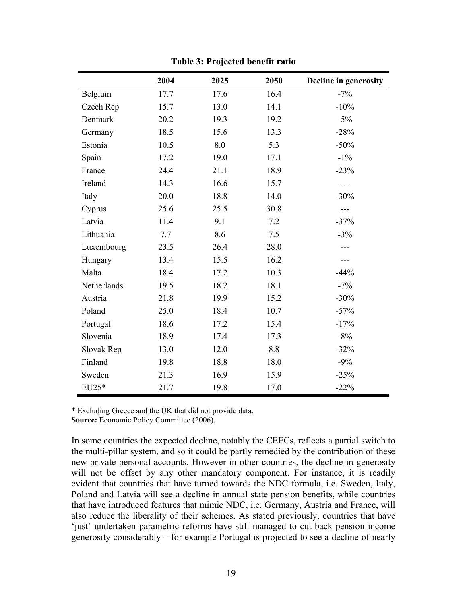|             | 2004 | 2025 | 2050 | Decline in generosity |
|-------------|------|------|------|-----------------------|
| Belgium     | 17.7 | 17.6 | 16.4 | $-7%$                 |
| Czech Rep   | 15.7 | 13.0 | 14.1 | $-10%$                |
| Denmark     | 20.2 | 19.3 | 19.2 | $-5\%$                |
| Germany     | 18.5 | 15.6 | 13.3 | $-28%$                |
| Estonia     | 10.5 | 8.0  | 5.3  | $-50%$                |
| Spain       | 17.2 | 19.0 | 17.1 | $-1\%$                |
| France      | 24.4 | 21.1 | 18.9 | $-23%$                |
| Ireland     | 14.3 | 16.6 | 15.7 |                       |
| Italy       | 20.0 | 18.8 | 14.0 | $-30%$                |
| Cyprus      | 25.6 | 25.5 | 30.8 | ---                   |
| Latvia      | 11.4 | 9.1  | 7.2  | $-37%$                |
| Lithuania   | 7.7  | 8.6  | 7.5  | $-3%$                 |
| Luxembourg  | 23.5 | 26.4 | 28.0 |                       |
| Hungary     | 13.4 | 15.5 | 16.2 |                       |
| Malta       | 18.4 | 17.2 | 10.3 | $-44%$                |
| Netherlands | 19.5 | 18.2 | 18.1 | $-7%$                 |
| Austria     | 21.8 | 19.9 | 15.2 | $-30%$                |
| Poland      | 25.0 | 18.4 | 10.7 | $-57%$                |
| Portugal    | 18.6 | 17.2 | 15.4 | $-17%$                |
| Slovenia    | 18.9 | 17.4 | 17.3 | $-8%$                 |
| Slovak Rep  | 13.0 | 12.0 | 8.8  | $-32%$                |
| Finland     | 19.8 | 18.8 | 18.0 | $-9\%$                |
| Sweden      | 21.3 | 16.9 | 15.9 | $-25%$                |
| EU25*       | 21.7 | 19.8 | 17.0 | $-22%$                |

**Table 3: Projected benefit ratio** 

\* Excluding Greece and the UK that did not provide data.

**Source:** Economic Policy Committee (2006).

In some countries the expected decline, notably the CEECs, reflects a partial switch to the multi-pillar system, and so it could be partly remedied by the contribution of these new private personal accounts. However in other countries, the decline in generosity will not be offset by any other mandatory component. For instance, it is readily evident that countries that have turned towards the NDC formula, i.e. Sweden, Italy, Poland and Latvia will see a decline in annual state pension benefits, while countries that have introduced features that mimic NDC, i.e. Germany, Austria and France, will also reduce the liberality of their schemes. As stated previously, countries that have 'just' undertaken parametric reforms have still managed to cut back pension income generosity considerably – for example Portugal is projected to see a decline of nearly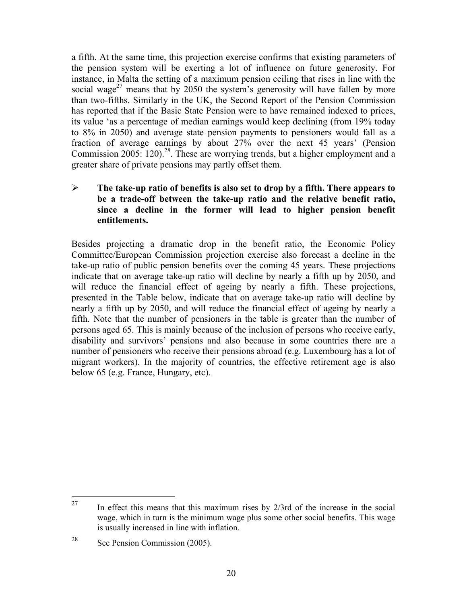a fifth. At the same time, this projection exercise confirms that existing parameters of the pension system will be exerting a lot of influence on future generosity. For instance, in Malta the setting of a maximum pension ceiling that rises in line with the social wage<sup>27</sup> means that by 2050 the system's generosity will have fallen by more than two-fifths. Similarly in the UK, the Second Report of the Pension Commission has reported that if the Basic State Pension were to have remained indexed to prices, its value 'as a percentage of median earnings would keep declining (from 19% today to 8% in 2050) and average state pension payments to pensioners would fall as a fraction of average earnings by about 27% over the next 45 years' (Pension Commission  $2005$ :  $120$ ).<sup>28</sup>. These are worrying trends, but a higher employment and a greater share of private pensions may partly offset them.

### ¾ **The take-up ratio of benefits is also set to drop by a fifth. There appears to be a trade-off between the take-up ratio and the relative benefit ratio, since a decline in the former will lead to higher pension benefit entitlements.**

Besides projecting a dramatic drop in the benefit ratio, the Economic Policy Committee/European Commission projection exercise also forecast a decline in the take-up ratio of public pension benefits over the coming 45 years. These projections indicate that on average take-up ratio will decline by nearly a fifth up by 2050, and will reduce the financial effect of ageing by nearly a fifth. These projections, presented in the Table below, indicate that on average take-up ratio will decline by nearly a fifth up by 2050, and will reduce the financial effect of ageing by nearly a fifth. Note that the number of pensioners in the table is greater than the number of persons aged 65. This is mainly because of the inclusion of persons who receive early, disability and survivors' pensions and also because in some countries there are a number of pensioners who receive their pensions abroad (e.g. Luxembourg has a lot of migrant workers). In the majority of countries, the effective retirement age is also below 65 (e.g. France, Hungary, etc).

<sup>27</sup> In effect this means that this maximum rises by  $2/3$  rd of the increase in the social wage, which in turn is the minimum wage plus some other social benefits. This wage is usually increased in line with inflation.

<sup>28</sup> See Pension Commission (2005).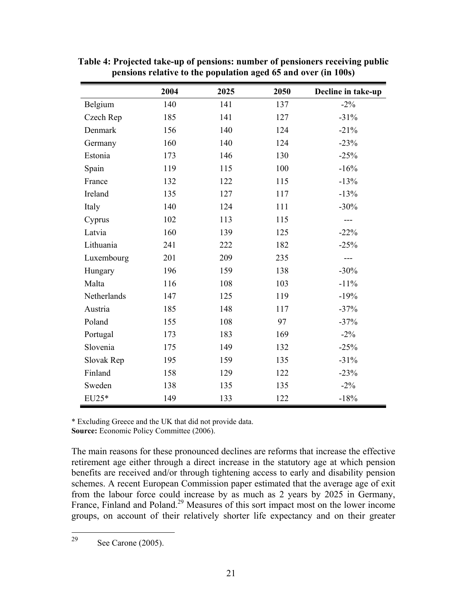|             | 2004 | 2025 | 2050 | Decline in take-up |
|-------------|------|------|------|--------------------|
| Belgium     | 140  | 141  | 137  | $-2\%$             |
| Czech Rep   | 185  | 141  | 127  | $-31%$             |
| Denmark     | 156  | 140  | 124  | $-21%$             |
| Germany     | 160  | 140  | 124  | $-23%$             |
| Estonia     | 173  | 146  | 130  | $-25%$             |
| Spain       | 119  | 115  | 100  | $-16%$             |
| France      | 132  | 122  | 115  | $-13%$             |
| Ireland     | 135  | 127  | 117  | $-13%$             |
| Italy       | 140  | 124  | 111  | $-30%$             |
| Cyprus      | 102  | 113  | 115  | $---$              |
| Latvia      | 160  | 139  | 125  | $-22%$             |
| Lithuania   | 241  | 222  | 182  | $-25%$             |
| Luxembourg  | 201  | 209  | 235  | ---                |
| Hungary     | 196  | 159  | 138  | $-30%$             |
| Malta       | 116  | 108  | 103  | $-11%$             |
| Netherlands | 147  | 125  | 119  | $-19%$             |
| Austria     | 185  | 148  | 117  | $-37%$             |
| Poland      | 155  | 108  | 97   | $-37%$             |
| Portugal    | 173  | 183  | 169  | $-2\%$             |
| Slovenia    | 175  | 149  | 132  | $-25%$             |
| Slovak Rep  | 195  | 159  | 135  | $-31%$             |
| Finland     | 158  | 129  | 122  | $-23%$             |
| Sweden      | 138  | 135  | 135  | $-2\%$             |
| EU25*       | 149  | 133  | 122  | $-18%$             |

**Table 4: Projected take-up of pensions: number of pensioners receiving public pensions relative to the population aged 65 and over (in 100s)** 

\* Excluding Greece and the UK that did not provide data. **Source:** Economic Policy Committee (2006).

The main reasons for these pronounced declines are reforms that increase the effective retirement age either through a direct increase in the statutory age at which pension benefits are received and/or through tightening access to early and disability pension schemes. A recent European Commission paper estimated that the average age of exit from the labour force could increase by as much as 2 years by 2025 in Germany, France, Finland and Poland.<sup>29</sup> Measures of this sort impact most on the lower income groups, on account of their relatively shorter life expectancy and on their greater

29 See Carone (2005).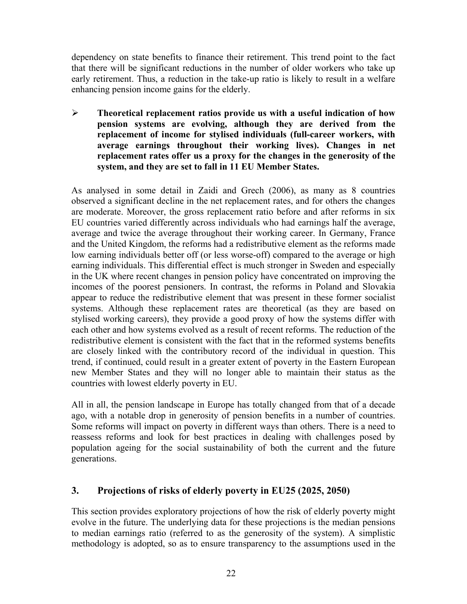dependency on state benefits to finance their retirement. This trend point to the fact that there will be significant reductions in the number of older workers who take up early retirement. Thus, a reduction in the take-up ratio is likely to result in a welfare enhancing pension income gains for the elderly.

¾ **Theoretical replacement ratios provide us with a useful indication of how pension systems are evolving, although they are derived from the replacement of income for stylised individuals (full-career workers, with average earnings throughout their working lives). Changes in net replacement rates offer us a proxy for the changes in the generosity of the system, and they are set to fall in 11 EU Member States.** 

As analysed in some detail in Zaidi and Grech (2006), as many as 8 countries observed a significant decline in the net replacement rates, and for others the changes are moderate. Moreover, the gross replacement ratio before and after reforms in six EU countries varied differently across individuals who had earnings half the average, average and twice the average throughout their working career. In Germany, France and the United Kingdom, the reforms had a redistributive element as the reforms made low earning individuals better off (or less worse-off) compared to the average or high earning individuals. This differential effect is much stronger in Sweden and especially in the UK where recent changes in pension policy have concentrated on improving the incomes of the poorest pensioners. In contrast, the reforms in Poland and Slovakia appear to reduce the redistributive element that was present in these former socialist systems. Although these replacement rates are theoretical (as they are based on stylised working careers), they provide a good proxy of how the systems differ with each other and how systems evolved as a result of recent reforms. The reduction of the redistributive element is consistent with the fact that in the reformed systems benefits are closely linked with the contributory record of the individual in question. This trend, if continued, could result in a greater extent of poverty in the Eastern European new Member States and they will no longer able to maintain their status as the countries with lowest elderly poverty in EU.

All in all, the pension landscape in Europe has totally changed from that of a decade ago, with a notable drop in generosity of pension benefits in a number of countries. Some reforms will impact on poverty in different ways than others. There is a need to reassess reforms and look for best practices in dealing with challenges posed by population ageing for the social sustainability of both the current and the future generations.

### **3. Projections of risks of elderly poverty in EU25 (2025, 2050)**

This section provides exploratory projections of how the risk of elderly poverty might evolve in the future. The underlying data for these projections is the median pensions to median earnings ratio (referred to as the generosity of the system). A simplistic methodology is adopted, so as to ensure transparency to the assumptions used in the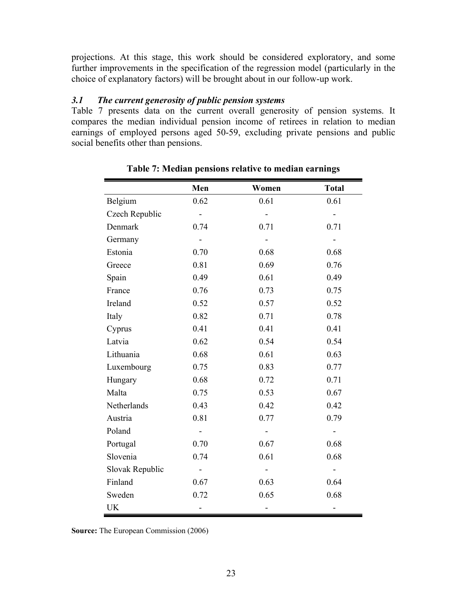projections. At this stage, this work should be considered exploratory, and some further improvements in the specification of the regression model (particularly in the choice of explanatory factors) will be brought about in our follow-up work.

#### *3.1 The current generosity of public pension systems*

Table 7 presents data on the current overall generosity of pension systems. It compares the median individual pension income of retirees in relation to median earnings of employed persons aged 50-59, excluding private pensions and public social benefits other than pensions.

|                 | Men            | Women | <b>Total</b> |
|-----------------|----------------|-------|--------------|
| Belgium         | 0.62           | 0.61  | 0.61         |
| Czech Republic  |                |       |              |
| Denmark         | 0.74           | 0.71  | 0.71         |
| Germany         | $\blacksquare$ |       |              |
| Estonia         | 0.70           | 0.68  | 0.68         |
| Greece          | 0.81           | 0.69  | 0.76         |
| Spain           | 0.49           | 0.61  | 0.49         |
| France          | 0.76           | 0.73  | 0.75         |
| Ireland         | 0.52           | 0.57  | 0.52         |
| Italy           | 0.82           | 0.71  | 0.78         |
| Cyprus          | 0.41           | 0.41  | 0.41         |
| Latvia          | 0.62           | 0.54  | 0.54         |
| Lithuania       | 0.68           | 0.61  | 0.63         |
| Luxembourg      | 0.75           | 0.83  | 0.77         |
| Hungary         | 0.68           | 0.72  | 0.71         |
| Malta           | 0.75           | 0.53  | 0.67         |
| Netherlands     | 0.43           | 0.42  | 0.42         |
| Austria         | 0.81           | 0.77  | 0.79         |
| Poland          |                |       |              |
| Portugal        | 0.70           | 0.67  | 0.68         |
| Slovenia        | 0.74           | 0.61  | 0.68         |
| Slovak Republic |                |       |              |
| Finland         | 0.67           | 0.63  | 0.64         |
| Sweden          | 0.72           | 0.65  | 0.68         |
| UK              |                |       |              |

**Table 7: Median pensions relative to median earnings** 

**Source:** The European Commission (2006)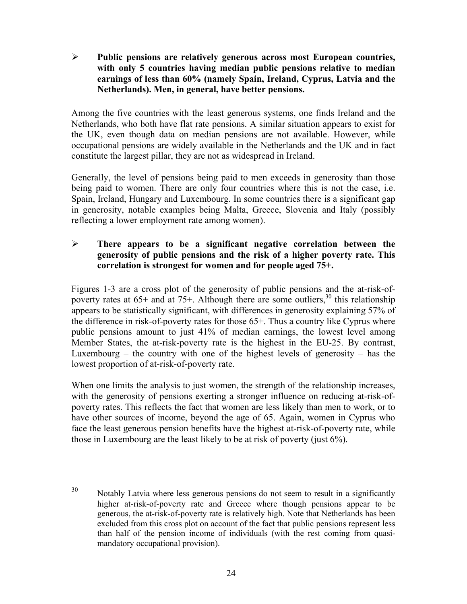¾ **Public pensions are relatively generous across most European countries, with only 5 countries having median public pensions relative to median earnings of less than 60% (namely Spain, Ireland, Cyprus, Latvia and the Netherlands). Men, in general, have better pensions.** 

Among the five countries with the least generous systems, one finds Ireland and the Netherlands, who both have flat rate pensions. A similar situation appears to exist for the UK, even though data on median pensions are not available. However, while occupational pensions are widely available in the Netherlands and the UK and in fact constitute the largest pillar, they are not as widespread in Ireland.

Generally, the level of pensions being paid to men exceeds in generosity than those being paid to women. There are only four countries where this is not the case, i.e. Spain, Ireland, Hungary and Luxembourg. In some countries there is a significant gap in generosity, notable examples being Malta, Greece, Slovenia and Italy (possibly reflecting a lower employment rate among women).

### ¾ **There appears to be a significant negative correlation between the generosity of public pensions and the risk of a higher poverty rate. This correlation is strongest for women and for people aged 75+.**

Figures 1-3 are a cross plot of the generosity of public pensions and the at-risk-ofpoverty rates at 65+ and at 75+. Although there are some outliers,  $30$  this relationship appears to be statistically significant, with differences in generosity explaining 57% of the difference in risk-of-poverty rates for those 65+. Thus a country like Cyprus where public pensions amount to just 41% of median earnings, the lowest level among Member States, the at-risk-poverty rate is the highest in the EU-25. By contrast, Luxembourg – the country with one of the highest levels of generosity – has the lowest proportion of at-risk-of-poverty rate.

When one limits the analysis to just women, the strength of the relationship increases, with the generosity of pensions exerting a stronger influence on reducing at-risk-ofpoverty rates. This reflects the fact that women are less likely than men to work, or to have other sources of income, beyond the age of 65. Again, women in Cyprus who face the least generous pension benefits have the highest at-risk-of-poverty rate, while those in Luxembourg are the least likely to be at risk of poverty (just 6%).

<sup>30</sup> Notably Latvia where less generous pensions do not seem to result in a significantly higher at-risk-of-poverty rate and Greece where though pensions appear to be generous, the at-risk-of-poverty rate is relatively high. Note that Netherlands has been excluded from this cross plot on account of the fact that public pensions represent less than half of the pension income of individuals (with the rest coming from quasimandatory occupational provision).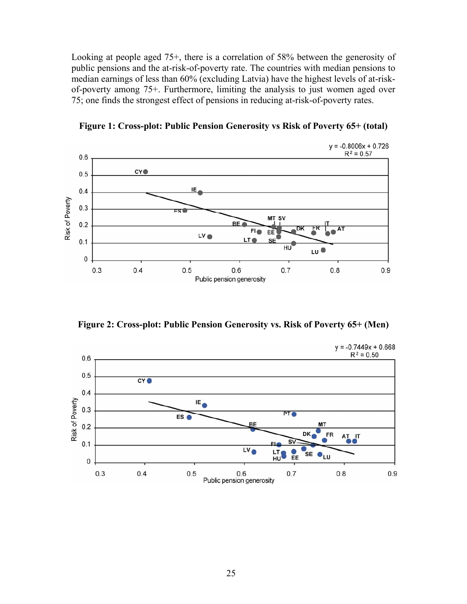Looking at people aged 75+, there is a correlation of 58% between the generosity of public pensions and the at-risk-of-poverty rate. The countries with median pensions to median earnings of less than 60% (excluding Latvia) have the highest levels of at-riskof-poverty among 75+. Furthermore, limiting the analysis to just women aged over 75; one finds the strongest effect of pensions in reducing at-risk-of-poverty rates.



**Figure 1: Cross-plot: Public Pension Generosity vs Risk of Poverty 65+ (total)** 

**Figure 2: Cross-plot: Public Pension Generosity vs. Risk of Poverty 65+ (Men)** 

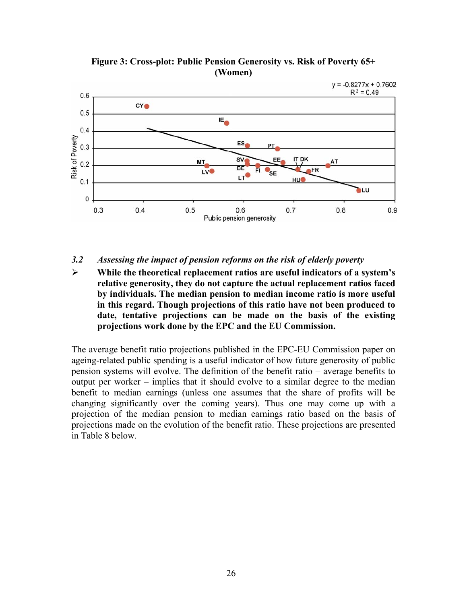

**Figure 3: Cross-plot: Public Pension Generosity vs. Risk of Poverty 65+ (Women)** 

#### *3.2 Assessing the impact of pension reforms on the risk of elderly poverty*

¾ **While the theoretical replacement ratios are useful indicators of a system's relative generosity, they do not capture the actual replacement ratios faced by individuals. The median pension to median income ratio is more useful in this regard. Though projections of this ratio have not been produced to date, tentative projections can be made on the basis of the existing projections work done by the EPC and the EU Commission.** 

The average benefit ratio projections published in the EPC-EU Commission paper on ageing-related public spending is a useful indicator of how future generosity of public pension systems will evolve. The definition of the benefit ratio – average benefits to output per worker – implies that it should evolve to a similar degree to the median benefit to median earnings (unless one assumes that the share of profits will be changing significantly over the coming years). Thus one may come up with a projection of the median pension to median earnings ratio based on the basis of projections made on the evolution of the benefit ratio. These projections are presented in Table 8 below.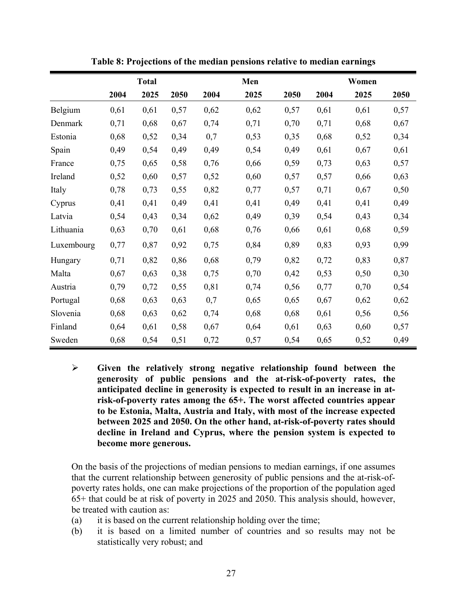|            |      | <b>Total</b> |      |      | Men  |      |      | Women |      |
|------------|------|--------------|------|------|------|------|------|-------|------|
|            | 2004 | 2025         | 2050 | 2004 | 2025 | 2050 | 2004 | 2025  | 2050 |
| Belgium    | 0,61 | 0,61         | 0,57 | 0,62 | 0,62 | 0,57 | 0,61 | 0,61  | 0,57 |
| Denmark    | 0,71 | 0,68         | 0,67 | 0,74 | 0,71 | 0,70 | 0,71 | 0,68  | 0,67 |
| Estonia    | 0,68 | 0,52         | 0,34 | 0,7  | 0,53 | 0,35 | 0,68 | 0,52  | 0,34 |
| Spain      | 0,49 | 0,54         | 0,49 | 0,49 | 0,54 | 0,49 | 0,61 | 0,67  | 0,61 |
| France     | 0,75 | 0,65         | 0,58 | 0,76 | 0,66 | 0,59 | 0,73 | 0,63  | 0,57 |
| Ireland    | 0,52 | 0,60         | 0,57 | 0,52 | 0,60 | 0,57 | 0,57 | 0,66  | 0,63 |
| Italy      | 0,78 | 0,73         | 0,55 | 0,82 | 0,77 | 0,57 | 0,71 | 0,67  | 0,50 |
| Cyprus     | 0,41 | 0,41         | 0,49 | 0,41 | 0,41 | 0,49 | 0,41 | 0,41  | 0,49 |
| Latvia     | 0,54 | 0,43         | 0,34 | 0,62 | 0,49 | 0,39 | 0,54 | 0,43  | 0,34 |
| Lithuania  | 0,63 | 0,70         | 0,61 | 0,68 | 0,76 | 0,66 | 0,61 | 0,68  | 0,59 |
| Luxembourg | 0,77 | 0,87         | 0,92 | 0,75 | 0,84 | 0,89 | 0,83 | 0,93  | 0,99 |
| Hungary    | 0,71 | 0,82         | 0,86 | 0,68 | 0,79 | 0,82 | 0,72 | 0,83  | 0,87 |
| Malta      | 0,67 | 0,63         | 0,38 | 0,75 | 0,70 | 0,42 | 0,53 | 0,50  | 0,30 |
| Austria    | 0,79 | 0,72         | 0,55 | 0,81 | 0,74 | 0,56 | 0,77 | 0,70  | 0,54 |
| Portugal   | 0,68 | 0,63         | 0,63 | 0,7  | 0,65 | 0,65 | 0,67 | 0,62  | 0,62 |
| Slovenia   | 0,68 | 0,63         | 0,62 | 0,74 | 0,68 | 0,68 | 0,61 | 0,56  | 0,56 |
| Finland    | 0,64 | 0,61         | 0,58 | 0,67 | 0,64 | 0,61 | 0,63 | 0,60  | 0,57 |
| Sweden     | 0,68 | 0,54         | 0,51 | 0,72 | 0,57 | 0,54 | 0,65 | 0,52  | 0,49 |

**Table 8: Projections of the median pensions relative to median earnings** 

¾ **Given the relatively strong negative relationship found between the generosity of public pensions and the at-risk-of-poverty rates, the anticipated decline in generosity is expected to result in an increase in atrisk-of-poverty rates among the 65+. The worst affected countries appear to be Estonia, Malta, Austria and Italy, with most of the increase expected between 2025 and 2050. On the other hand, at-risk-of-poverty rates should decline in Ireland and Cyprus, where the pension system is expected to become more generous.** 

On the basis of the projections of median pensions to median earnings, if one assumes that the current relationship between generosity of public pensions and the at-risk-ofpoverty rates holds, one can make projections of the proportion of the population aged 65+ that could be at risk of poverty in 2025 and 2050. This analysis should, however, be treated with caution as:

- (a) it is based on the current relationship holding over the time;
- (b) it is based on a limited number of countries and so results may not be statistically very robust; and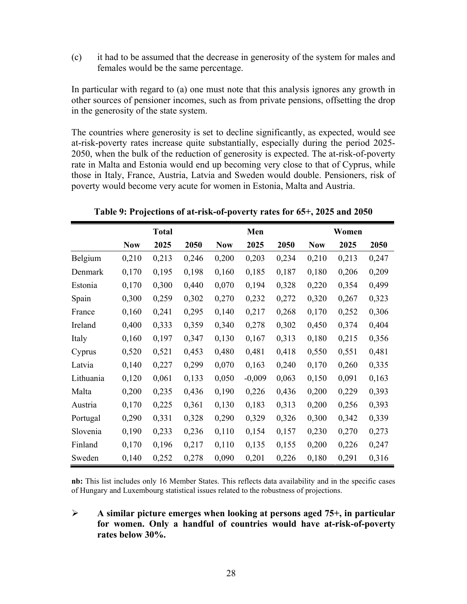(c) it had to be assumed that the decrease in generosity of the system for males and females would be the same percentage.

In particular with regard to (a) one must note that this analysis ignores any growth in other sources of pensioner incomes, such as from private pensions, offsetting the drop in the generosity of the state system.

The countries where generosity is set to decline significantly, as expected, would see at-risk-poverty rates increase quite substantially, especially during the period 2025- 2050, when the bulk of the reduction of generosity is expected. The at-risk-of-poverty rate in Malta and Estonia would end up becoming very close to that of Cyprus, while those in Italy, France, Austria, Latvia and Sweden would double. Pensioners, risk of poverty would become very acute for women in Estonia, Malta and Austria.

|           |            | <b>Total</b> |       |            | Men      |       |            | Women |       |
|-----------|------------|--------------|-------|------------|----------|-------|------------|-------|-------|
|           | <b>Now</b> | 2025         | 2050  | <b>Now</b> | 2025     | 2050  | <b>Now</b> | 2025  | 2050  |
| Belgium   | 0,210      | 0,213        | 0,246 | 0,200      | 0,203    | 0,234 | 0,210      | 0,213 | 0,247 |
| Denmark   | 0,170      | 0,195        | 0,198 | 0,160      | 0,185    | 0,187 | 0,180      | 0,206 | 0,209 |
| Estonia   | 0,170      | 0,300        | 0,440 | 0,070      | 0,194    | 0,328 | 0,220      | 0,354 | 0,499 |
| Spain     | 0,300      | 0,259        | 0,302 | 0,270      | 0,232    | 0,272 | 0,320      | 0,267 | 0,323 |
| France    | 0,160      | 0,241        | 0,295 | 0,140      | 0,217    | 0,268 | 0,170      | 0,252 | 0,306 |
| Ireland   | 0,400      | 0,333        | 0,359 | 0,340      | 0,278    | 0,302 | 0,450      | 0,374 | 0,404 |
| Italy     | 0,160      | 0,197        | 0,347 | 0,130      | 0,167    | 0,313 | 0,180      | 0,215 | 0,356 |
| Cyprus    | 0,520      | 0,521        | 0,453 | 0,480      | 0,481    | 0,418 | 0,550      | 0,551 | 0,481 |
| Latvia    | 0,140      | 0,227        | 0,299 | 0,070      | 0,163    | 0,240 | 0,170      | 0,260 | 0,335 |
| Lithuania | 0,120      | 0,061        | 0,133 | 0,050      | $-0,009$ | 0,063 | 0,150      | 0,091 | 0,163 |
| Malta     | 0,200      | 0,235        | 0,436 | 0,190      | 0,226    | 0,436 | 0,200      | 0,229 | 0,393 |
| Austria   | 0,170      | 0,225        | 0,361 | 0,130      | 0,183    | 0,313 | 0,200      | 0,256 | 0,393 |
| Portugal  | 0,290      | 0,331        | 0,328 | 0,290      | 0,329    | 0,326 | 0,300      | 0,342 | 0,339 |
| Slovenia  | 0,190      | 0,233        | 0,236 | 0,110      | 0,154    | 0,157 | 0,230      | 0,270 | 0,273 |
| Finland   | 0,170      | 0,196        | 0,217 | 0,110      | 0,135    | 0,155 | 0,200      | 0,226 | 0,247 |
| Sweden    | 0,140      | 0,252        | 0,278 | 0,090      | 0,201    | 0,226 | 0,180      | 0,291 | 0,316 |

**Table 9: Projections of at-risk-of-poverty rates for 65+, 2025 and 2050** 

**nb:** This list includes only 16 Member States. This reflects data availability and in the specific cases of Hungary and Luxembourg statistical issues related to the robustness of projections.

¾ **A similar picture emerges when looking at persons aged 75+, in particular for women. Only a handful of countries would have at-risk-of-poverty rates below 30%.**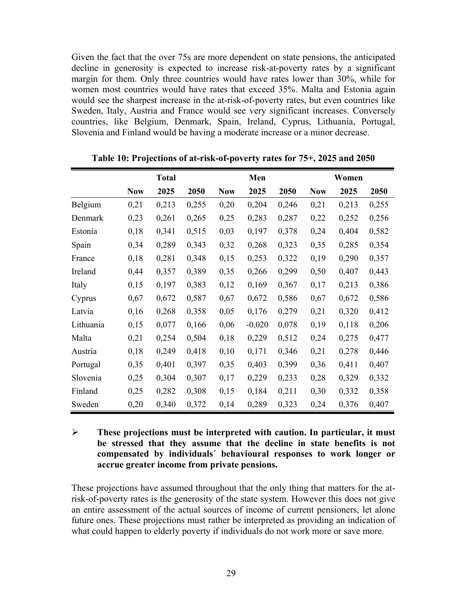Given the fact that the over 75s are more dependent on state pensions, the anticipated decline in generosity is expected to increase risk-at-poverty rates by a significant margin for them. Only three countries would have rates lower than 30%, while for women most countries would have rates that exceed 35%. Malta and Estonia again would see the sharpest increase in the at-risk-of-poverty rates, but even countries like Sweden, Italy, Austria and France would see very significant increases. Conversely countries, like Belgium, Denmark, Spain, Ireland, Cyprus, Lithuania, Portugal, Slovenia and Finland would be having a moderate increase or a minor decrease.

|           | <b>Total</b> |       |       |            | Men      |       |            | Women |       |  |
|-----------|--------------|-------|-------|------------|----------|-------|------------|-------|-------|--|
|           | <b>Now</b>   | 2025  | 2050  | <b>Now</b> | 2025     | 2050  | <b>Now</b> | 2025  | 2050  |  |
| Belgium   | 0,21         | 0,213 | 0,255 | 0,20       | 0,204    | 0,246 | 0,21       | 0,213 | 0,255 |  |
| Denmark   | 0,23         | 0,261 | 0,265 | 0,25       | 0,283    | 0,287 | 0,22       | 0,252 | 0,256 |  |
| Estonia   | 0,18         | 0,341 | 0,515 | 0,03       | 0,197    | 0,378 | 0,24       | 0,404 | 0,582 |  |
| Spain     | 0,34         | 0,289 | 0,343 | 0,32       | 0,268    | 0,323 | 0,35       | 0,285 | 0,354 |  |
| France    | 0,18         | 0,281 | 0,348 | 0,15       | 0,253    | 0,322 | 0,19       | 0,290 | 0,357 |  |
| Ireland   | 0,44         | 0,357 | 0,389 | 0,35       | 0,266    | 0,299 | 0,50       | 0,407 | 0,443 |  |
| Italy     | 0,15         | 0,197 | 0,383 | 0,12       | 0,169    | 0,367 | 0,17       | 0,213 | 0,386 |  |
| Cyprus    | 0,67         | 0,672 | 0,587 | 0,67       | 0,672    | 0,586 | 0,67       | 0,672 | 0,586 |  |
| Latvia    | 0,16         | 0,268 | 0,358 | 0,05       | 0,176    | 0,279 | 0,21       | 0,320 | 0,412 |  |
| Lithuania | 0,15         | 0,077 | 0,166 | 0,06       | $-0,020$ | 0,078 | 0,19       | 0,118 | 0,206 |  |
| Malta     | 0,21         | 0,254 | 0,504 | 0,18       | 0,229    | 0,512 | 0,24       | 0,275 | 0,477 |  |
| Austria   | 0,18         | 0,249 | 0,418 | 0,10       | 0,171    | 0,346 | 0,21       | 0,278 | 0,446 |  |
| Portugal  | 0,35         | 0,401 | 0,397 | 0,35       | 0,403    | 0,399 | 0,36       | 0,411 | 0,407 |  |
| Slovenia  | 0,25         | 0,304 | 0,307 | 0,17       | 0,229    | 0,233 | 0,28       | 0,329 | 0,332 |  |
| Finland   | 0,25         | 0,282 | 0,308 | 0,15       | 0,184    | 0,211 | 0,30       | 0,332 | 0,358 |  |
| Sweden    | 0,20         | 0,340 | 0,372 | 0,14       | 0,289    | 0,323 | 0,24       | 0,376 | 0,407 |  |

**Table 10: Projections of at-risk-of-poverty rates for 75+, 2025 and 2050** 

### ¾ **These projections must be interpreted with caution. In particular, it must be stressed that they assume that the decline in state benefits is not compensated by individuals´ behavioural responses to work longer or accrue greater income from private pensions.**

These projections have assumed throughout that the only thing that matters for the atrisk-of-poverty rates is the generosity of the state system. However this does not give an entire assessment of the actual sources of income of current pensioners, let alone future ones. These projections must rather be interpreted as providing an indication of what could happen to elderly poverty if individuals do not work more or save more.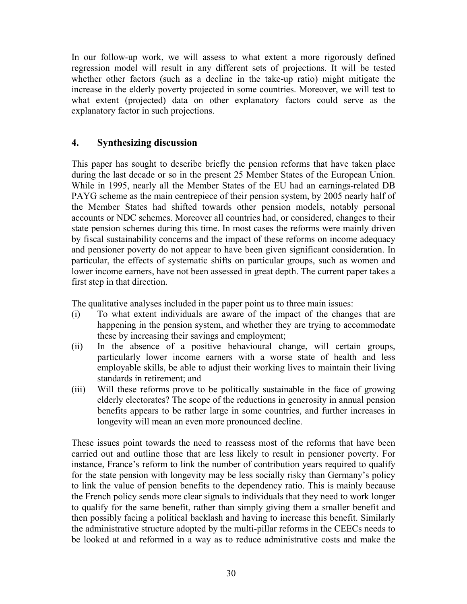In our follow-up work, we will assess to what extent a more rigorously defined regression model will result in any different sets of projections. It will be tested whether other factors (such as a decline in the take-up ratio) might mitigate the increase in the elderly poverty projected in some countries. Moreover, we will test to what extent (projected) data on other explanatory factors could serve as the explanatory factor in such projections.

### **4. Synthesizing discussion**

This paper has sought to describe briefly the pension reforms that have taken place during the last decade or so in the present 25 Member States of the European Union. While in 1995, nearly all the Member States of the EU had an earnings-related DB PAYG scheme as the main centrepiece of their pension system, by 2005 nearly half of the Member States had shifted towards other pension models, notably personal accounts or NDC schemes. Moreover all countries had, or considered, changes to their state pension schemes during this time. In most cases the reforms were mainly driven by fiscal sustainability concerns and the impact of these reforms on income adequacy and pensioner poverty do not appear to have been given significant consideration. In particular, the effects of systematic shifts on particular groups, such as women and lower income earners, have not been assessed in great depth. The current paper takes a first step in that direction.

The qualitative analyses included in the paper point us to three main issues:

- (i) To what extent individuals are aware of the impact of the changes that are happening in the pension system, and whether they are trying to accommodate these by increasing their savings and employment;
- (ii) In the absence of a positive behavioural change, will certain groups, particularly lower income earners with a worse state of health and less employable skills, be able to adjust their working lives to maintain their living standards in retirement; and
- (iii) Will these reforms prove to be politically sustainable in the face of growing elderly electorates? The scope of the reductions in generosity in annual pension benefits appears to be rather large in some countries, and further increases in longevity will mean an even more pronounced decline.

These issues point towards the need to reassess most of the reforms that have been carried out and outline those that are less likely to result in pensioner poverty. For instance, France's reform to link the number of contribution years required to qualify for the state pension with longevity may be less socially risky than Germany's policy to link the value of pension benefits to the dependency ratio. This is mainly because the French policy sends more clear signals to individuals that they need to work longer to qualify for the same benefit, rather than simply giving them a smaller benefit and then possibly facing a political backlash and having to increase this benefit. Similarly the administrative structure adopted by the multi-pillar reforms in the CEECs needs to be looked at and reformed in a way as to reduce administrative costs and make the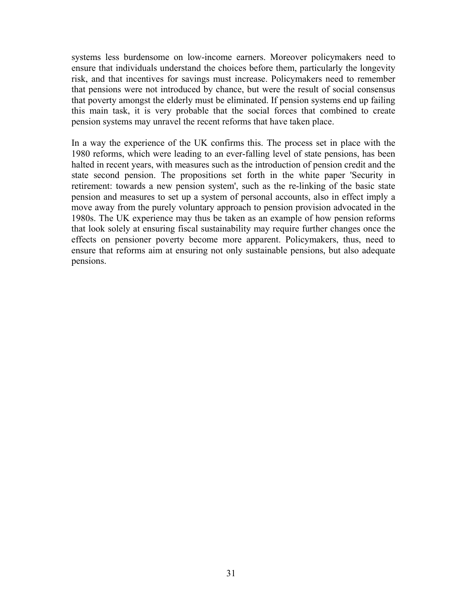systems less burdensome on low-income earners. Moreover policymakers need to ensure that individuals understand the choices before them, particularly the longevity risk, and that incentives for savings must increase. Policymakers need to remember that pensions were not introduced by chance, but were the result of social consensus that poverty amongst the elderly must be eliminated. If pension systems end up failing this main task, it is very probable that the social forces that combined to create pension systems may unravel the recent reforms that have taken place.

In a way the experience of the UK confirms this. The process set in place with the 1980 reforms, which were leading to an ever-falling level of state pensions, has been halted in recent years, with measures such as the introduction of pension credit and the state second pension. The propositions set forth in the white paper 'Security in retirement: towards a new pension system', such as the re-linking of the basic state pension and measures to set up a system of personal accounts, also in effect imply a move away from the purely voluntary approach to pension provision advocated in the 1980s. The UK experience may thus be taken as an example of how pension reforms that look solely at ensuring fiscal sustainability may require further changes once the effects on pensioner poverty become more apparent. Policymakers, thus, need to ensure that reforms aim at ensuring not only sustainable pensions, but also adequate pensions.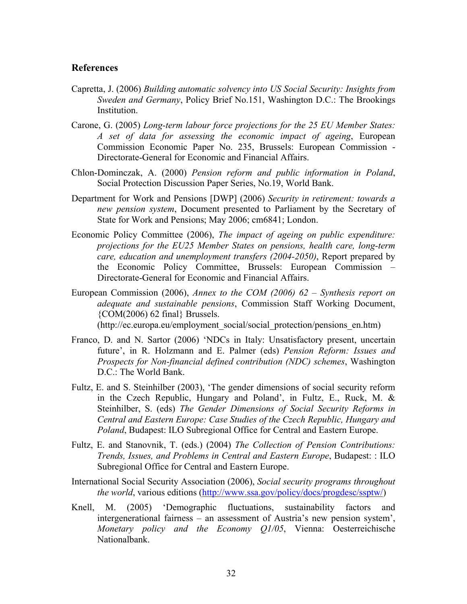#### **References**

- Capretta, J. (2006) *Building automatic solvency into US Social Security: Insights from Sweden and Germany*, Policy Brief No.151, Washington D.C.: The Brookings Institution.
- Carone, G. (2005) *Long-term labour force projections for the 25 EU Member States: A set of data for assessing the economic impact of ageing*, European Commission Economic Paper No. 235, Brussels: European Commission - Directorate-General for Economic and Financial Affairs.
- Chlon-Dominczak, A. (2000) *Pension reform and public information in Poland*, Social Protection Discussion Paper Series, No.19, World Bank.
- Department for Work and Pensions [DWP] (2006) *Security in retirement: towards a new pension system*, Document presented to Parliament by the Secretary of State for Work and Pensions; May 2006; cm6841; London.
- Economic Policy Committee (2006), *The impact of ageing on public expenditure: projections for the EU25 Member States on pensions, health care, long-term care, education and unemployment transfers (2004-2050)*, Report prepared by the Economic Policy Committee, Brussels: European Commission – Directorate-General for Economic and Financial Affairs.
- European Commission (2006), *Annex to the COM (2006) 62 Synthesis report on adequate and sustainable pensions*, Commission Staff Working Document, {COM(2006) 62 final} Brussels. (http://ec.europa.eu/employment\_social/social\_protection/pensions\_en.htm)
- Franco, D. and N. Sartor (2006) 'NDCs in Italy: Unsatisfactory present, uncertain future', in R. Holzmann and E. Palmer (eds) *Pension Reform: Issues and Prospects for Non-financial defined contribution (NDC) schemes*, Washington D.C.: The World Bank.
- Fultz, E. and S. Steinhilber (2003), 'The gender dimensions of social security reform in the Czech Republic, Hungary and Poland', in Fultz, E., Ruck, M. & Steinhilber, S. (eds) *The Gender Dimensions of Social Security Reforms in Central and Eastern Europe: Case Studies of the Czech Republic, Hungary and Poland*, Budapest: ILO Subregional Office for Central and Eastern Europe.
- Fultz, E. and Stanovnik, T. (eds.) (2004) *The Collection of Pension Contributions: Trends, Issues, and Problems in Central and Eastern Europe*, Budapest: : ILO Subregional Office for Central and Eastern Europe.
- International Social Security Association (2006), *Social security programs throughout the world*, various editions (http://www.ssa.gov/policy/docs/progdesc/ssptw/)
- Knell, M. (2005) 'Demographic fluctuations, sustainability factors and intergenerational fairness – an assessment of Austria's new pension system', *Monetary policy and the Economy Q1/05*, Vienna: Oesterreichische Nationalbank.